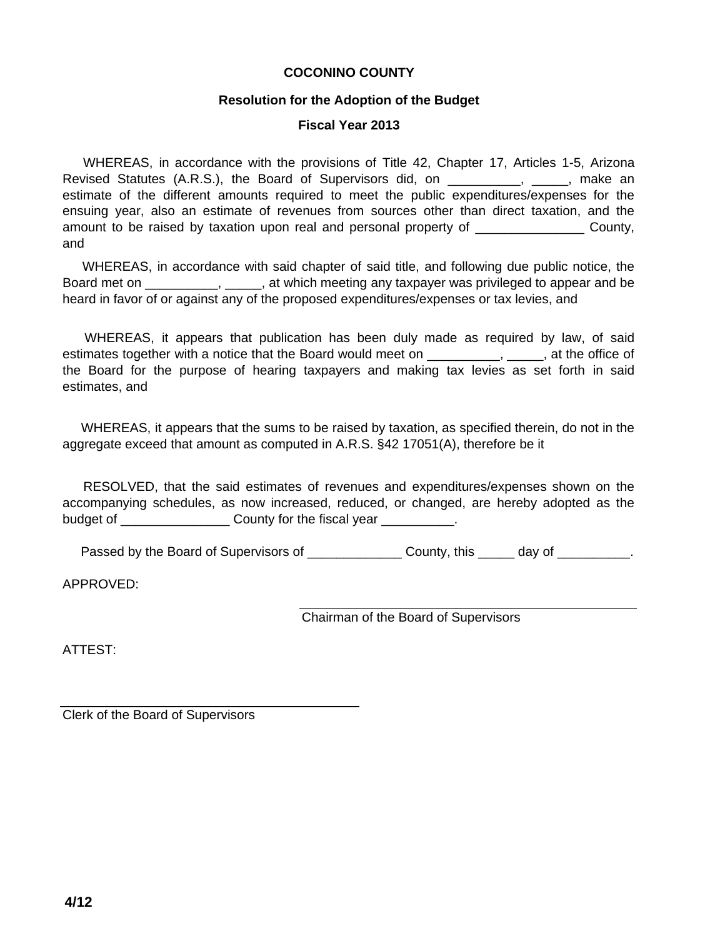### **COCONINO COUNTY**

### **Resolution for the Adoption of the Budget**

### **Fiscal Year 2013**

WHEREAS, in accordance with the provisions of Title 42, Chapter 17, Articles 1-5, Arizona Revised Statutes (A.R.S.), the Board of Supervisors did, on \_\_\_\_\_\_\_\_\_\_, \_\_\_\_\_, make an estimate of the different amounts required to meet the public expenditures/expenses for the ensuing year, also an estimate of revenues from sources other than direct taxation, and the amount to be raised by taxation upon real and personal property of  $\Box$  County, and

WHEREAS, in accordance with said chapter of said title, and following due public notice, the Board met on \_\_\_\_\_\_\_\_\_, \_\_\_\_\_, at which meeting any taxpayer was privileged to appear and be heard in favor of or against any of the proposed expenditures/expenses or tax levies, and

WHEREAS, it appears that publication has been duly made as required by law, of said estimates together with a notice that the Board would meet on \_\_\_\_\_\_\_\_\_\_, \_\_\_\_\_, at the office of the Board for the purpose of hearing taxpayers and making tax levies as set forth in said estimates, and

WHEREAS, it appears that the sums to be raised by taxation, as specified therein, do not in the aggregate exceed that amount as computed in A.R.S. §42 17051(A), therefore be it

RESOLVED, that the said estimates of revenues and expenditures/expenses shown on the accompanying schedules, as now increased, reduced, or changed, are hereby adopted as the budget of \_\_\_\_\_\_\_\_\_\_\_\_\_\_\_\_\_\_\_\_\_ County for the fiscal year \_\_\_\_\_\_\_\_\_\_\_.

Passed by the Board of Supervisors of \_\_\_\_\_\_\_\_\_\_\_\_\_\_\_\_\_ County, this \_\_\_\_\_\_ day of \_\_\_\_\_\_\_\_\_\_.

APPROVED:

Chairman of the Board of Supervisors

ATTEST:

Clerk of the Board of Supervisors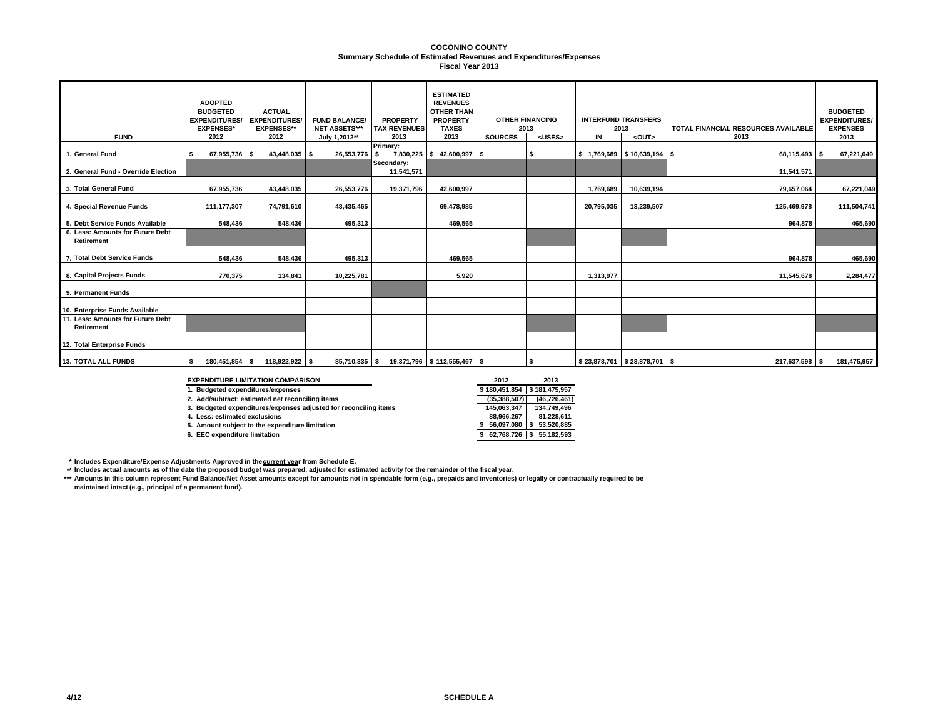#### **Summary Schedule of Estimated Revenues and Expenditures/Expenses COCONINO COUNTYFiscal Year 2013**

| <b>FUND</b>                                     | <b>ADOPTED</b><br><b>BUDGETED</b><br><b>EXPENDITURES/</b><br><b>EXPENSES*</b><br>2012 | <b>ACTUAL</b><br><b>EXPENDITURES/</b><br><b>EXPENSES**</b><br>2012 | <b>FUND BALANCE/</b><br><b>NET ASSETS***</b><br>July 1,2012** | <b>PROPERTY</b><br><b>TAX REVENUES</b><br>2013 | <b>ESTIMATED</b><br><b>REVENUES</b><br><b>OTHER THAN</b><br><b>PROPERTY</b><br><b>TAXES</b><br>2013 | <b>SOURCES</b> | <b>OTHER FINANCING</b><br>2013<br><uses></uses> | $\overline{\mathsf{I}}$ | <b>INTERFUND TRANSFERS</b><br>2013<br><out></out> | TOTAL FINANCIAL RESOURCES AVAILABLE<br>2013 | <b>BUDGETED</b><br><b>EXPENDITURES/</b><br><b>EXPENSES</b><br>2013 |
|-------------------------------------------------|---------------------------------------------------------------------------------------|--------------------------------------------------------------------|---------------------------------------------------------------|------------------------------------------------|-----------------------------------------------------------------------------------------------------|----------------|-------------------------------------------------|-------------------------|---------------------------------------------------|---------------------------------------------|--------------------------------------------------------------------|
| 1. General Fund                                 | 67,955,736 \$                                                                         | 43,448,035 \$                                                      | 26,553,776                                                    | Primary:<br>7,830,225<br>s                     | 42,600,997 \$<br>s.                                                                                 |                | \$                                              |                         | $$1,769,689$ $$10,639,194$ \$                     | 68,115,493 \$                               | 67,221,049                                                         |
| 2. General Fund - Override Election             |                                                                                       |                                                                    |                                                               | Secondary:<br>11,541,571                       |                                                                                                     |                |                                                 |                         |                                                   | 11,541,571                                  |                                                                    |
| 3. Total General Fund                           | 67,955,736                                                                            | 43,448,035                                                         | 26,553,776                                                    | 19,371,796                                     | 42.600.997                                                                                          |                |                                                 | 1,769,689               | 10,639,194                                        | 79,657,064                                  | 67,221,049                                                         |
| 4. Special Revenue Funds                        | 111,177,307                                                                           | 74,791,610                                                         | 48,435,465                                                    |                                                | 69,478,985                                                                                          |                |                                                 | 20,795,035              | 13,239,507                                        | 125,469,978                                 | 111,504,741                                                        |
| 5. Debt Service Funds Available                 | 548,436                                                                               | 548,436                                                            | 495,313                                                       |                                                | 469,565                                                                                             |                |                                                 |                         |                                                   | 964,878                                     | 465,690                                                            |
| 6. Less: Amounts for Future Debt<br>Retirement  |                                                                                       |                                                                    |                                                               |                                                |                                                                                                     |                |                                                 |                         |                                                   |                                             |                                                                    |
| 7. Total Debt Service Funds                     | 548,436                                                                               | 548,436                                                            | 495,313                                                       |                                                | 469,565                                                                                             |                |                                                 |                         |                                                   | 964,878                                     | 465,690                                                            |
| 8. Capital Projects Funds                       | 770.375                                                                               | 134,841                                                            | 10,225,781                                                    |                                                | 5,920                                                                                               |                |                                                 | 1,313,977               |                                                   | 11,545,678                                  | 2,284,477                                                          |
| 9. Permanent Funds                              |                                                                                       |                                                                    |                                                               |                                                |                                                                                                     |                |                                                 |                         |                                                   |                                             |                                                                    |
| 10. Enterprise Funds Available                  |                                                                                       |                                                                    |                                                               |                                                |                                                                                                     |                |                                                 |                         |                                                   |                                             |                                                                    |
| 11. Less: Amounts for Future Debt<br>Retirement |                                                                                       |                                                                    |                                                               |                                                |                                                                                                     |                |                                                 |                         |                                                   |                                             |                                                                    |
| 12. Total Enterprise Funds                      |                                                                                       |                                                                    |                                                               |                                                |                                                                                                     |                |                                                 |                         |                                                   |                                             |                                                                    |
| <b>13. TOTAL ALL FUNDS</b>                      | 180,451,854 \$<br>I \$                                                                | 118,922,922 \$                                                     | $85,710,335$ \$                                               |                                                | 19,371,796 \$112,555,467 \$                                                                         |                | - \$                                            |                         | \$23,878,701 \$23,878,701 \$                      | 217,637,598 \$                              | 181,475,957                                                        |

#### **EXPENDITURE LIMITATION COMPARISON 2012 2013**

**5. Amount subject to the expenditure limitation**<br>**6. EEC expenditure limitation** 

\$180.451.854 \$181.475.957 **1. Budgeted expenditures/expenses \$ 181,475,957 180,451,854 \$**  2. Add/subtract: estimated net reconciling items<br>**2. Budgeted expenditures/expenses adjusted for reconciling items**<br>**2. Budgeted expenditures/expenses adjusted for reconciling items** 1. Budgeted expenditures/expenses adjusted for reconciling items **145,063,347** 134,749,496<br>4. Less: estimated exclusions **145,063,267** 81,228,611 **4. Less: estimated exclusions** 81,228,611 **88,966,267** 81,228,611 **88,966,267** 81,228,611 **81,228,611 81,228,611 81,228,611 81,228,611 81,228,851 81,228,851 81,228,885 81,228,885 81,228,885 81,228,885 6. EEC expenditure limitation \$ 55,182,593 62,768,726 \$** 

\* Includes Expenditure/Expense Adjustments Approved in the<u>current yea</u>r from Schedule E.<br>\*\* Includes actual amounts as of the date the proposed budget was prepared, adjusted for estimated activity for the remainder of the

**\*\*\* Amounts in this column represent Fund Balance/Net Asset amounts except for amounts not in spendable form (e.g., prepaids and inventories) or legally or contractually required to be maintained intact (e.g., principal of a permanent fund).**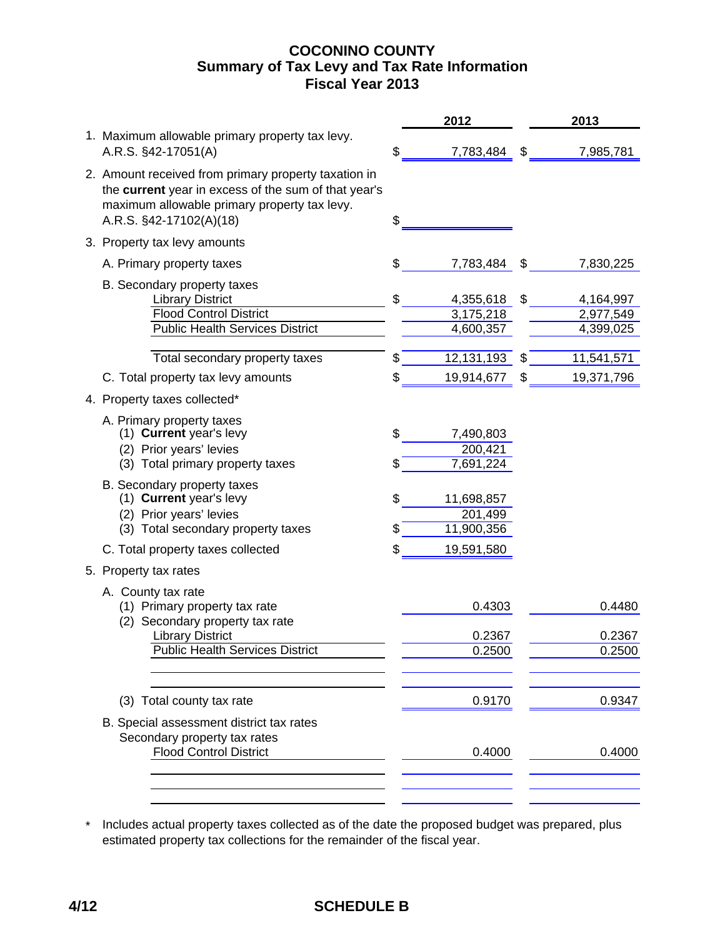## **COCONINO COUNTY Fiscal Year 2013 Summary of Tax Levy and Tax Rate Information**

|                                                                                                                                                                                         | 2012                                      | 2013                                      |
|-----------------------------------------------------------------------------------------------------------------------------------------------------------------------------------------|-------------------------------------------|-------------------------------------------|
| 1. Maximum allowable primary property tax levy.<br>A.R.S. §42-17051(A)                                                                                                                  | \$<br>7,783,484                           | \$<br>7,985,781                           |
| 2. Amount received from primary property taxation in<br>the current year in excess of the sum of that year's<br>maximum allowable primary property tax levy.<br>A.R.S. §42-17102(A)(18) | \$                                        |                                           |
| 3. Property tax levy amounts                                                                                                                                                            |                                           |                                           |
| A. Primary property taxes                                                                                                                                                               | \$<br>7,783,484                           | \$<br>7,830,225                           |
| B. Secondary property taxes<br><b>Library District</b><br><b>Flood Control District</b><br><b>Public Health Services District</b>                                                       | \$<br>4,355,618<br>3,175,218<br>4,600,357 | \$<br>4,164,997<br>2,977,549<br>4,399,025 |
| Total secondary property taxes                                                                                                                                                          | \$<br>12,131,193                          | \$<br>11,541,571                          |
| C. Total property tax levy amounts                                                                                                                                                      | \$<br>19,914,677                          | \$<br>19,371,796                          |
| 4. Property taxes collected*                                                                                                                                                            |                                           |                                           |
| A. Primary property taxes<br>(1) Current year's levy<br>(2) Prior years' levies<br>(3) Total primary property taxes                                                                     | \$<br>7,490,803<br>200,421<br>7,691,224   |                                           |
| B. Secondary property taxes<br>(1) Current year's levy<br>(2) Prior years' levies<br>(3) Total secondary property taxes                                                                 | \$<br>11,698,857<br>201,499<br>11,900,356 |                                           |
| C. Total property taxes collected                                                                                                                                                       | \$<br>19,591,580                          |                                           |
| 5. Property tax rates                                                                                                                                                                   |                                           |                                           |
| A. County tax rate<br>(1) Primary property tax rate<br>(2) Secondary property tax rate                                                                                                  | 0.4303                                    | 0.4480                                    |
| <b>Library District</b>                                                                                                                                                                 | 0.2367                                    | 0.2367                                    |
| <b>Public Health Services District</b>                                                                                                                                                  | 0.2500                                    | 0.2500                                    |
| (3) Total county tax rate                                                                                                                                                               | 0.9170                                    | 0.9347                                    |
| B. Special assessment district tax rates<br>Secondary property tax rates<br><b>Flood Control District</b>                                                                               | 0.4000                                    | 0.4000                                    |
|                                                                                                                                                                                         |                                           |                                           |

\* Includes actual property taxes collected as of the date the proposed budget was prepared, plus estimated property tax collections for the remainder of the fiscal year.

# **4/12 SCHEDULE B**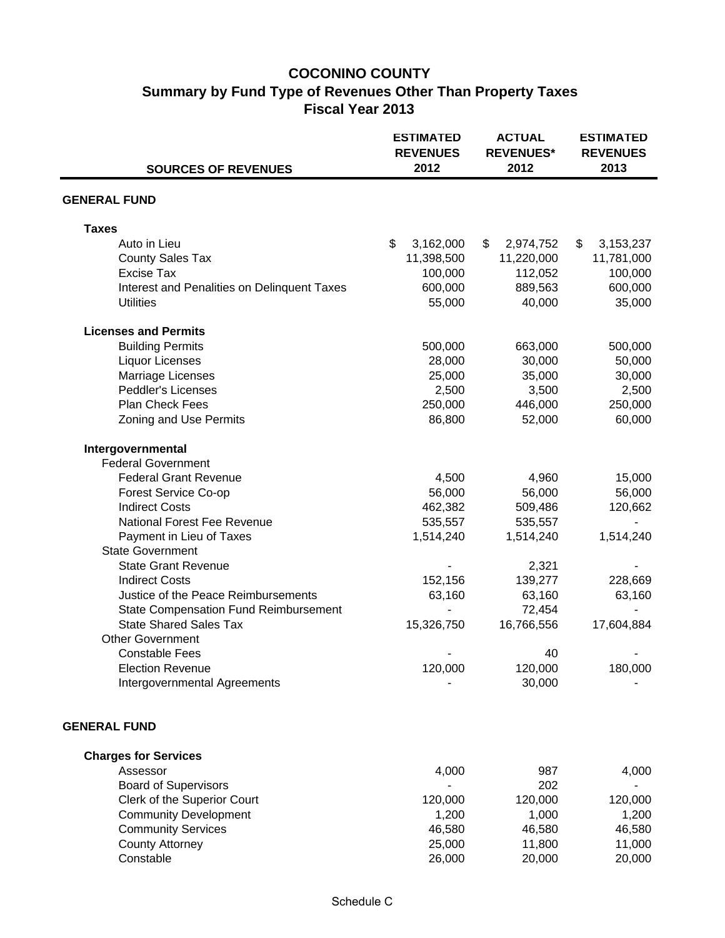# **COCONINO COUNTY Summary by Fund Type of Revenues Other Than Property Taxes Fiscal Year 2013**

|                                              | <b>ESTIMATED</b><br><b>REVENUES</b><br>2012 | <b>ACTUAL</b><br><b>REVENUES*</b><br>2012 | <b>ESTIMATED</b><br><b>REVENUES</b><br>2013 |  |  |
|----------------------------------------------|---------------------------------------------|-------------------------------------------|---------------------------------------------|--|--|
| <b>SOURCES OF REVENUES</b>                   |                                             |                                           |                                             |  |  |
| <b>GENERAL FUND</b>                          |                                             |                                           |                                             |  |  |
| <b>Taxes</b>                                 |                                             |                                           |                                             |  |  |
| Auto in Lieu                                 | \$<br>3,162,000                             | \$<br>2,974,752                           | \$<br>3,153,237                             |  |  |
| <b>County Sales Tax</b>                      | 11,398,500                                  | 11,220,000                                | 11,781,000                                  |  |  |
| <b>Excise Tax</b>                            | 100,000                                     | 112,052                                   | 100,000                                     |  |  |
| Interest and Penalities on Delinquent Taxes  | 600,000                                     | 889,563                                   | 600,000                                     |  |  |
| <b>Utilities</b>                             | 55,000                                      | 40,000                                    | 35,000                                      |  |  |
| <b>Licenses and Permits</b>                  |                                             |                                           |                                             |  |  |
| <b>Building Permits</b>                      | 500,000                                     | 663,000                                   | 500,000                                     |  |  |
| <b>Liquor Licenses</b>                       | 28,000                                      | 30,000                                    | 50,000                                      |  |  |
| Marriage Licenses                            | 25,000                                      | 35,000                                    | 30,000                                      |  |  |
| <b>Peddler's Licenses</b>                    | 2,500                                       | 3,500                                     | 2,500                                       |  |  |
| Plan Check Fees                              | 250,000                                     | 446,000                                   | 250,000                                     |  |  |
| Zoning and Use Permits                       | 86,800                                      | 52,000                                    | 60,000                                      |  |  |
| Intergovernmental                            |                                             |                                           |                                             |  |  |
| <b>Federal Government</b>                    |                                             |                                           |                                             |  |  |
| <b>Federal Grant Revenue</b>                 | 4,500                                       | 4,960                                     | 15,000                                      |  |  |
| Forest Service Co-op                         | 56,000                                      | 56,000                                    | 56,000                                      |  |  |
| <b>Indirect Costs</b>                        | 462,382                                     | 509,486                                   | 120,662                                     |  |  |
| National Forest Fee Revenue                  | 535,557                                     | 535,557                                   |                                             |  |  |
| Payment in Lieu of Taxes                     | 1,514,240                                   | 1,514,240                                 | 1,514,240                                   |  |  |
| <b>State Government</b>                      |                                             |                                           |                                             |  |  |
| <b>State Grant Revenue</b>                   |                                             | 2,321                                     |                                             |  |  |
| <b>Indirect Costs</b>                        | 152,156                                     | 139,277                                   | 228,669                                     |  |  |
| Justice of the Peace Reimbursements          | 63,160                                      | 63,160                                    | 63,160                                      |  |  |
| <b>State Compensation Fund Reimbursement</b> |                                             | 72,454                                    |                                             |  |  |
| <b>State Shared Sales Tax</b>                | 15,326,750                                  | 16,766,556                                | 17,604,884                                  |  |  |
| <b>Other Government</b>                      |                                             |                                           |                                             |  |  |
| <b>Constable Fees</b>                        |                                             | 40                                        |                                             |  |  |
| <b>Election Revenue</b>                      | 120,000                                     | 120,000                                   | 180,000                                     |  |  |
| Intergovernmental Agreements                 |                                             | 30,000                                    |                                             |  |  |
| <b>GENERAL FUND</b>                          |                                             |                                           |                                             |  |  |
| <b>Charges for Services</b>                  |                                             |                                           |                                             |  |  |
| Assessor                                     | 4,000                                       | 987                                       | 4,000                                       |  |  |
| <b>Board of Supervisors</b>                  |                                             | 202                                       |                                             |  |  |
| Clerk of the Superior Court                  | 120,000                                     | 120,000                                   | 120,000                                     |  |  |
| <b>Community Development</b>                 | 1,200                                       | 1,000                                     | 1,200                                       |  |  |
| <b>Community Services</b>                    | 46,580                                      | 46,580                                    | 46,580                                      |  |  |
| <b>County Attorney</b>                       | 25,000                                      | 11,800                                    | 11,000                                      |  |  |
| Constable                                    | 26,000                                      | 20,000                                    | 20,000                                      |  |  |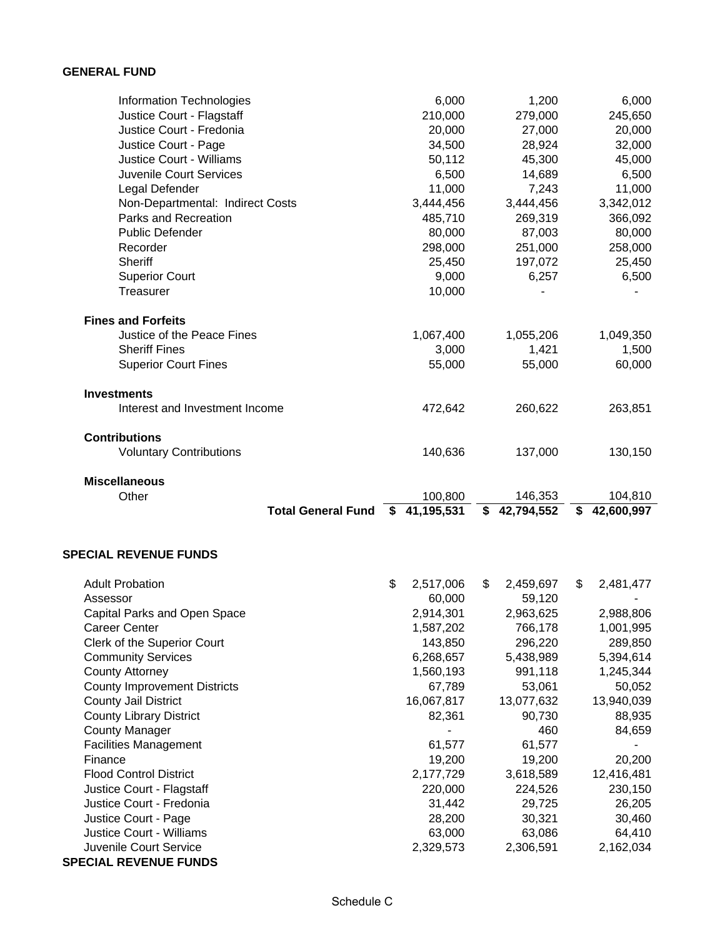#### **GENERAL FUND**

| Information Technologies         | 6,000            | 1,200            | 6,000            |
|----------------------------------|------------------|------------------|------------------|
| Justice Court - Flagstaff        | 210,000          | 279,000          | 245,650          |
| Justice Court - Fredonia         | 20,000           | 27,000           | 20,000           |
| Justice Court - Page             | 34,500           | 28,924           | 32,000           |
| <b>Justice Court - Williams</b>  | 50,112           | 45,300           | 45,000           |
| <b>Juvenile Court Services</b>   | 6,500            | 14,689           | 6,500            |
| Legal Defender                   | 11,000           | 7,243            | 11,000           |
| Non-Departmental: Indirect Costs | 3,444,456        | 3,444,456        | 3,342,012        |
| Parks and Recreation             | 485,710          | 269,319          | 366,092          |
| <b>Public Defender</b>           | 80,000           | 87,003           | 80,000           |
| Recorder                         | 298,000          | 251,000          | 258,000          |
| Sheriff                          | 25,450           | 197,072          | 25,450           |
| <b>Superior Court</b>            | 9,000            | 6,257            | 6,500            |
| <b>Treasurer</b>                 | 10,000           |                  |                  |
| <b>Fines and Forfeits</b>        |                  |                  |                  |
| Justice of the Peace Fines       | 1,067,400        | 1,055,206        | 1,049,350        |
| <b>Sheriff Fines</b>             | 3,000            | 1,421            | 1,500            |
| <b>Superior Court Fines</b>      | 55,000           | 55,000           | 60,000           |
| <b>Investments</b>               |                  |                  |                  |
| Interest and Investment Income   | 472,642          | 260,622          | 263,851          |
| <b>Contributions</b>             |                  |                  |                  |
| <b>Voluntary Contributions</b>   | 140,636          | 137,000          | 130,150          |
| <b>Miscellaneous</b>             |                  |                  |                  |
| Other                            | 100,800          | 146,353          | 104,810          |
| <b>Total General Fund</b>        | 41,195,531<br>Ŝ. | 42,794,552<br>\$ | 42,600,997<br>\$ |

#### **SPECIAL REVENUE FUNDS**

| <b>Adult Probation</b>              | \$<br>2,517,006 | \$<br>2,459,697 | \$<br>2,481,477 |
|-------------------------------------|-----------------|-----------------|-----------------|
| Assessor                            | 60,000          | 59,120          |                 |
| Capital Parks and Open Space        | 2,914,301       | 2,963,625       | 2,988,806       |
| Career Center                       | 1,587,202       | 766,178         | 1,001,995       |
| Clerk of the Superior Court         | 143,850         | 296,220         | 289,850         |
| <b>Community Services</b>           | 6,268,657       | 5,438,989       | 5,394,614       |
| <b>County Attorney</b>              | 1,560,193       | 991,118         | 1,245,344       |
| <b>County Improvement Districts</b> | 67,789          | 53,061          | 50,052          |
| <b>County Jail District</b>         | 16,067,817      | 13,077,632      | 13,940,039      |
| <b>County Library District</b>      | 82,361          | 90,730          | 88,935          |
| <b>County Manager</b>               |                 | 460             | 84,659          |
| <b>Facilities Management</b>        | 61,577          | 61,577          |                 |
| Finance                             | 19,200          | 19,200          | 20,200          |
| <b>Flood Control District</b>       | 2,177,729       | 3,618,589       | 12,416,481      |
| Justice Court - Flagstaff           | 220,000         | 224,526         | 230,150         |
| Justice Court - Fredonia            | 31,442          | 29,725          | 26,205          |
| Justice Court - Page                | 28,200          | 30,321          | 30,460          |
| <b>Justice Court - Williams</b>     | 63,000          | 63,086          | 64,410          |
| Juvenile Court Service              | 2,329,573       | 2,306,591       | 2,162,034       |
| <b>SPECIAL REVENUE FUNDS</b>        |                 |                 |                 |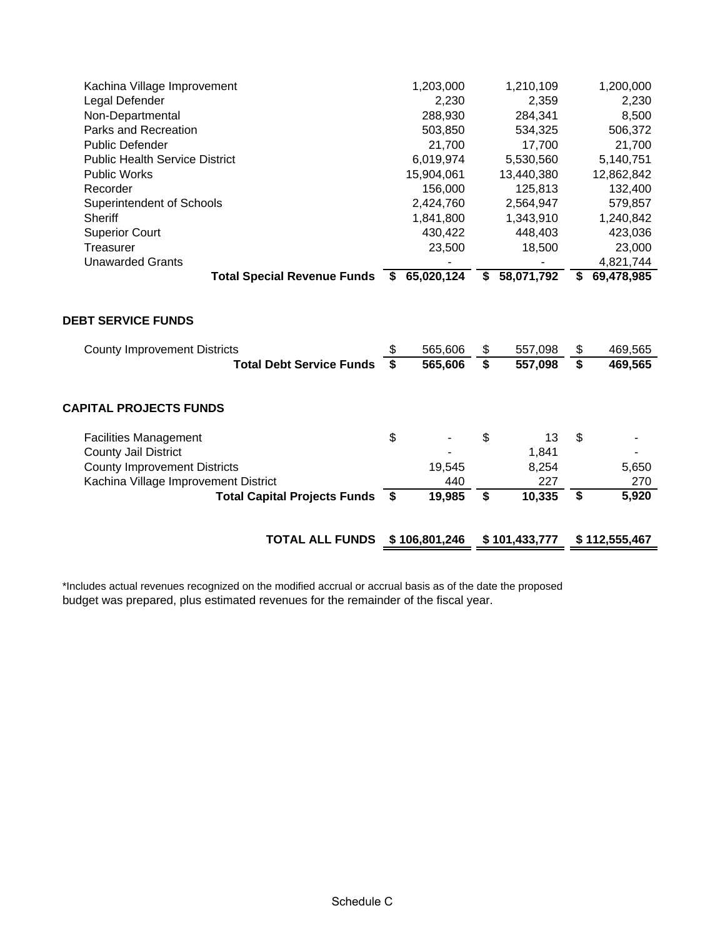| Kachina Village Improvement<br>Legal Defender<br>Non-Departmental<br>Parks and Recreation           | 1,203,000<br>2,230<br>288,930<br>503,850 |          | 1,210,109<br>2,359<br>284,341<br>534,325 |          | 1,200,000<br>2,230<br>8,500<br>506,372 |
|-----------------------------------------------------------------------------------------------------|------------------------------------------|----------|------------------------------------------|----------|----------------------------------------|
| <b>Public Defender</b>                                                                              | 21,700                                   |          | 17,700                                   |          | 21,700                                 |
| <b>Public Health Service District</b>                                                               | 6,019,974                                |          | 5,530,560                                |          | 5,140,751                              |
| <b>Public Works</b>                                                                                 | 15,904,061                               |          | 13,440,380                               |          | 12,862,842                             |
| Recorder                                                                                            | 156,000                                  |          | 125,813                                  |          | 132,400                                |
| Superintendent of Schools                                                                           | 2,424,760                                |          | 2,564,947                                |          | 579,857                                |
| Sheriff                                                                                             | 1,841,800                                |          | 1,343,910                                |          | 1,240,842                              |
| <b>Superior Court</b>                                                                               | 430,422                                  |          | 448,403                                  |          | 423,036                                |
| Treasurer                                                                                           | 23,500                                   |          | 18,500                                   |          | 23,000                                 |
| <b>Unawarded Grants</b>                                                                             |                                          |          |                                          |          | 4,821,744                              |
| Total Special Revenue Funds \$ 65,020,124                                                           |                                          |          | \$58,071,792                             | \$       | 69,478,985                             |
|                                                                                                     |                                          |          |                                          |          |                                        |
| <b>DEBT SERVICE FUNDS</b><br><b>County Improvement Districts</b><br><b>Total Debt Service Funds</b> | 565,606<br>565,606                       | \$<br>\$ | 557,098<br>557,098                       | \$<br>\$ | 469,565<br>469,565                     |
| <b>CAPITAL PROJECTS FUNDS</b><br><b>Facilities Management</b>                                       | \$                                       | \$       | 13                                       | \$       |                                        |
| <b>County Jail District</b>                                                                         |                                          |          | 1,841                                    |          |                                        |
| <b>County Improvement Districts</b>                                                                 | 19,545                                   |          | 8,254                                    |          | 5,650                                  |
| Kachina Village Improvement District                                                                | 440                                      |          | 227                                      |          | 270                                    |
| Total Capital Projects Funds \$                                                                     | 19,985                                   | \$       | 10,335                                   | \$       | 5,920                                  |

**TOTAL ALL FUNDS 106,801,246 \$ 101,433,777 \$ 112,555,467 \$** 

\*Includes actual revenues recognized on the modified accrual or accrual basis as of the date the proposed budget was prepared, plus estimated revenues for the remainder of the fiscal year.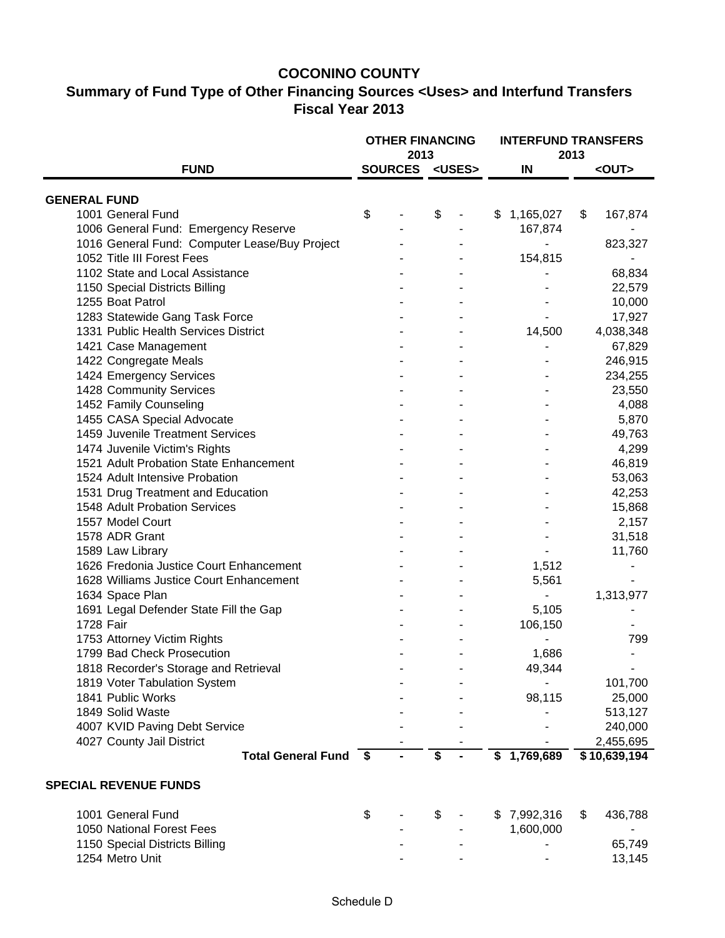### **COCONINO COUNTY**

# **Summary of Fund Type of Other Financing Sources <Uses> and Interfund Transfers Fiscal Year 2013**

|                                               | <b>OTHER FINANCING</b><br>2013 |                       |    |  |    |             | 2013 | <b>INTERFUND TRANSFERS</b> |  |
|-----------------------------------------------|--------------------------------|-----------------------|----|--|----|-------------|------|----------------------------|--|
| <b>FUND</b>                                   |                                | SOURCES <uses></uses> |    |  |    | IN          |      | <out></out>                |  |
| <b>GENERAL FUND</b>                           |                                |                       |    |  |    |             |      |                            |  |
| 1001 General Fund                             | \$                             |                       | \$ |  | \$ | 1,165,027   | \$   | 167,874                    |  |
| 1006 General Fund: Emergency Reserve          |                                |                       |    |  |    | 167,874     |      |                            |  |
| 1016 General Fund: Computer Lease/Buy Project |                                |                       |    |  |    |             |      | 823,327                    |  |
| 1052 Title III Forest Fees                    |                                |                       |    |  |    | 154,815     |      |                            |  |
| 1102 State and Local Assistance               |                                |                       |    |  |    |             |      | 68,834                     |  |
| 1150 Special Districts Billing                |                                |                       |    |  |    |             |      | 22,579                     |  |
| 1255 Boat Patrol                              |                                |                       |    |  |    |             |      | 10,000                     |  |
| 1283 Statewide Gang Task Force                |                                |                       |    |  |    |             |      | 17,927                     |  |
| 1331 Public Health Services District          |                                |                       |    |  |    | 14,500      |      | 4,038,348                  |  |
| 1421 Case Management                          |                                |                       |    |  |    |             |      | 67,829                     |  |
| 1422 Congregate Meals                         |                                |                       |    |  |    |             |      | 246,915                    |  |
| 1424 Emergency Services                       |                                |                       |    |  |    |             |      | 234,255                    |  |
| 1428 Community Services                       |                                |                       |    |  |    |             |      | 23,550                     |  |
| 1452 Family Counseling                        |                                |                       |    |  |    |             |      | 4,088                      |  |
| 1455 CASA Special Advocate                    |                                |                       |    |  |    |             |      | 5,870                      |  |
| 1459 Juvenile Treatment Services              |                                |                       |    |  |    |             |      | 49,763                     |  |
| 1474 Juvenile Victim's Rights                 |                                |                       |    |  |    |             |      | 4,299                      |  |
| 1521 Adult Probation State Enhancement        |                                |                       |    |  |    |             |      | 46,819                     |  |
| 1524 Adult Intensive Probation                |                                |                       |    |  |    |             |      | 53,063                     |  |
| 1531 Drug Treatment and Education             |                                |                       |    |  |    |             |      | 42,253                     |  |
| 1548 Adult Probation Services                 |                                |                       |    |  |    |             |      | 15,868                     |  |
| 1557 Model Court                              |                                |                       |    |  |    |             |      | 2,157                      |  |
| 1578 ADR Grant                                |                                |                       |    |  |    |             |      | 31,518                     |  |
| 1589 Law Library                              |                                |                       |    |  |    |             |      | 11,760                     |  |
| 1626 Fredonia Justice Court Enhancement       |                                |                       |    |  |    | 1,512       |      |                            |  |
| 1628 Williams Justice Court Enhancement       |                                |                       |    |  |    | 5,561       |      |                            |  |
| 1634 Space Plan                               |                                |                       |    |  |    |             |      | 1,313,977                  |  |
| 1691 Legal Defender State Fill the Gap        |                                |                       |    |  |    | 5,105       |      |                            |  |
| 1728 Fair                                     |                                |                       |    |  |    | 106,150     |      |                            |  |
| 1753 Attorney Victim Rights                   |                                |                       |    |  |    |             |      | 799                        |  |
| 1799 Bad Check Prosecution                    |                                |                       |    |  |    | 1,686       |      |                            |  |
| 1818 Recorder's Storage and Retrieval         |                                |                       |    |  |    | 49,344      |      |                            |  |
| 1819 Voter Tabulation System                  |                                |                       |    |  |    |             |      | 101,700                    |  |
| 1841 Public Works                             |                                |                       |    |  |    | 98,115      |      | 25,000                     |  |
| 1849 Solid Waste                              |                                |                       |    |  |    |             |      | 513,127                    |  |
| 4007 KVID Paving Debt Service                 |                                |                       |    |  |    |             |      | 240,000                    |  |
| 4027 County Jail District                     |                                |                       |    |  |    |             |      | 2,455,695                  |  |
| <b>Total General Fund</b>                     | - \$                           |                       | \$ |  |    | \$1,769,689 |      | \$10,639,194               |  |
| <b>SPECIAL REVENUE FUNDS</b>                  |                                |                       |    |  |    |             |      |                            |  |
|                                               |                                |                       |    |  |    |             |      |                            |  |
| 1001 General Fund                             | \$                             |                       | \$ |  | \$ | 7,992,316   | \$   | 436,788                    |  |
| 1050 National Forest Fees                     |                                |                       |    |  |    | 1,600,000   |      |                            |  |
| 1150 Special Districts Billing                |                                |                       |    |  |    |             |      | 65,749                     |  |
| 1254 Metro Unit                               |                                |                       |    |  |    |             |      | 13,145                     |  |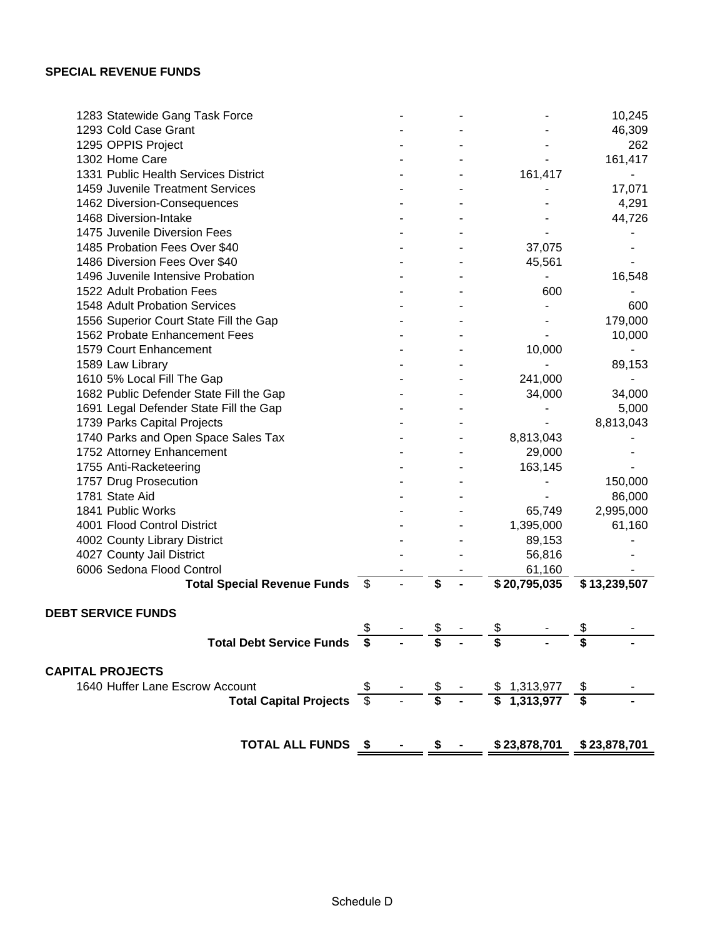| 1283 Statewide Gang Task Force          |                         |                    |    |                              | 10,245       |
|-----------------------------------------|-------------------------|--------------------|----|------------------------------|--------------|
| 1293 Cold Case Grant                    |                         |                    |    |                              | 46,309       |
| 1295 OPPIS Project                      |                         |                    |    |                              | 262          |
| 1302 Home Care                          |                         |                    |    |                              | 161,417      |
| 1331 Public Health Services District    |                         |                    |    | 161,417                      |              |
| 1459 Juvenile Treatment Services        |                         |                    |    |                              | 17,071       |
| 1462 Diversion-Consequences             |                         |                    |    |                              | 4,291        |
| 1468 Diversion-Intake                   |                         |                    |    |                              | 44,726       |
| 1475 Juvenile Diversion Fees            |                         |                    |    |                              |              |
| 1485 Probation Fees Over \$40           |                         |                    |    | 37,075                       |              |
| 1486 Diversion Fees Over \$40           |                         |                    |    | 45,561                       |              |
| 1496 Juvenile Intensive Probation       |                         |                    |    |                              | 16,548       |
| 1522 Adult Probation Fees               |                         |                    |    | 600                          |              |
| 1548 Adult Probation Services           |                         |                    |    |                              | 600          |
| 1556 Superior Court State Fill the Gap  |                         |                    |    |                              | 179,000      |
| 1562 Probate Enhancement Fees           |                         |                    |    |                              | 10,000       |
| 1579 Court Enhancement                  |                         |                    |    | 10,000                       |              |
| 1589 Law Library                        |                         |                    |    |                              | 89,153       |
| 1610 5% Local Fill The Gap              |                         |                    |    | 241,000                      |              |
| 1682 Public Defender State Fill the Gap |                         |                    |    | 34,000                       | 34,000       |
| 1691 Legal Defender State Fill the Gap  |                         |                    |    |                              | 5,000        |
| 1739 Parks Capital Projects             |                         |                    |    |                              | 8,813,043    |
| 1740 Parks and Open Space Sales Tax     |                         |                    |    | 8,813,043                    |              |
| 1752 Attorney Enhancement               |                         |                    |    | 29,000                       |              |
| 1755 Anti-Racketeering                  |                         |                    |    | 163,145                      |              |
| 1757 Drug Prosecution                   |                         |                    |    |                              | 150,000      |
| 1781 State Aid                          |                         |                    |    |                              | 86,000       |
| 1841 Public Works                       |                         |                    |    | 65,749                       | 2,995,000    |
| 4001 Flood Control District             |                         |                    |    | 1,395,000                    | 61,160       |
| 4002 County Library District            |                         |                    |    | 89,153                       |              |
| 4027 County Jail District               |                         |                    |    | 56,816                       |              |
| 6006 Sedona Flood Control               |                         |                    |    | 61,160                       |              |
| Total Special Revenue Funds \$          |                         | \$                 |    | \$20,795,035                 | \$13,239,507 |
| <b>DEBT SERVICE FUNDS</b>               |                         |                    |    |                              |              |
|                                         | \$                      | \$                 | \$ |                              | \$           |
| Total Debt Service Funds \$             |                         | \$                 | S  |                              |              |
|                                         |                         |                    |    |                              |              |
| <b>CAPITAL PROJECTS</b>                 |                         |                    |    |                              |              |
| 1640 Huffer Lane Escrow Account         |                         |                    |    |                              |              |
| <b>Total Capital Projects</b>           | $\overline{\mathbb{S}}$ | $-\frac{\$}{\$}$ - |    | $$1,313,977$<br>$$1,313,977$ |              |
|                                         |                         |                    |    |                              |              |
| <b>TOTAL ALL FUNDS \$</b>               |                         | \$                 |    | \$23,878,701                 | \$23,878,701 |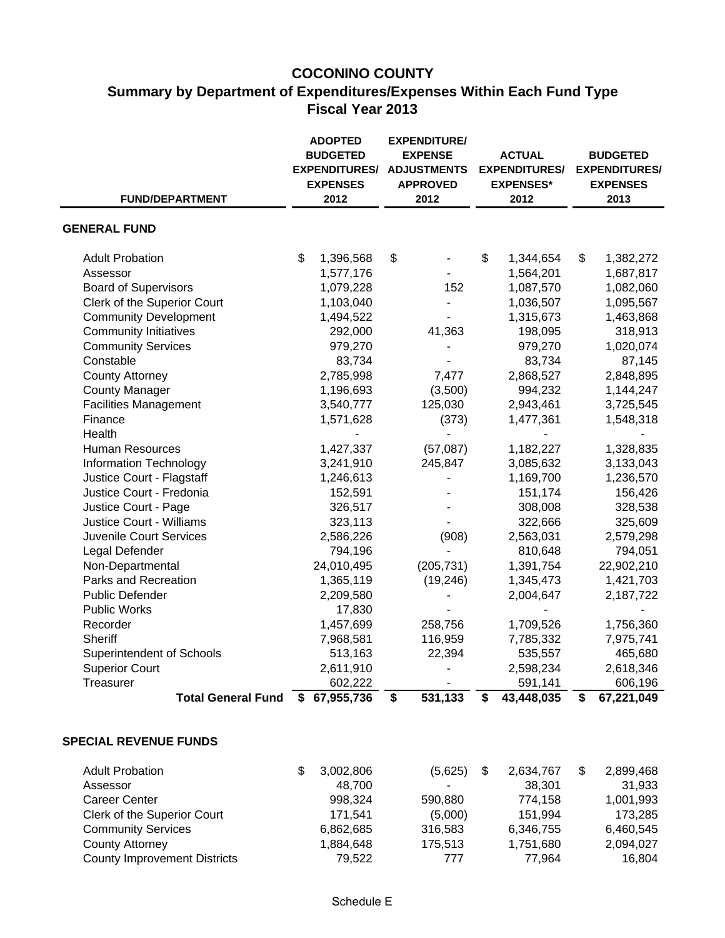# **COCONINO COUNTY Summary by Department of Expenditures/Expenses Within Each Fund Type Fiscal Year 2013**

| <b>FUND/DEPARTMENT</b>          | <b>ADOPTED</b><br><b>BUDGETED</b><br><b>EXPENDITURES/</b><br><b>EXPENSES</b><br>2012 | <b>EXPENDITURE/</b><br><b>EXPENSE</b><br><b>ADJUSTMENTS</b><br><b>APPROVED</b><br>2012 | <b>ACTUAL</b><br><b>EXPENDITURES/</b><br><b>EXPENSES*</b><br>2012 | <b>BUDGETED</b><br><b>EXPENDITURES/</b><br><b>EXPENSES</b><br>2013 |
|---------------------------------|--------------------------------------------------------------------------------------|----------------------------------------------------------------------------------------|-------------------------------------------------------------------|--------------------------------------------------------------------|
|                                 |                                                                                      |                                                                                        |                                                                   |                                                                    |
| <b>GENERAL FUND</b>             |                                                                                      |                                                                                        |                                                                   |                                                                    |
| <b>Adult Probation</b>          | \$<br>1,396,568                                                                      | \$                                                                                     | \$<br>1,344,654                                                   | \$<br>1,382,272                                                    |
| Assessor                        | 1,577,176                                                                            |                                                                                        | 1,564,201                                                         | 1,687,817                                                          |
| <b>Board of Supervisors</b>     | 1,079,228                                                                            | 152                                                                                    | 1,087,570                                                         | 1,082,060                                                          |
| Clerk of the Superior Court     | 1,103,040                                                                            |                                                                                        | 1,036,507                                                         | 1,095,567                                                          |
| <b>Community Development</b>    | 1,494,522                                                                            |                                                                                        | 1,315,673                                                         | 1,463,868                                                          |
| <b>Community Initiatives</b>    | 292,000                                                                              | 41,363                                                                                 | 198,095                                                           | 318,913                                                            |
| <b>Community Services</b>       | 979,270                                                                              |                                                                                        | 979,270                                                           | 1,020,074                                                          |
| Constable                       | 83,734                                                                               |                                                                                        | 83,734                                                            | 87,145                                                             |
| <b>County Attorney</b>          | 2,785,998                                                                            | 7,477                                                                                  | 2,868,527                                                         | 2,848,895                                                          |
| <b>County Manager</b>           | 1,196,693                                                                            | (3,500)                                                                                | 994,232                                                           | 1,144,247                                                          |
| <b>Facilities Management</b>    | 3,540,777                                                                            | 125,030                                                                                | 2,943,461                                                         | 3,725,545                                                          |
| Finance                         | 1,571,628                                                                            | (373)                                                                                  | 1,477,361                                                         | 1,548,318                                                          |
| Health                          |                                                                                      |                                                                                        |                                                                   |                                                                    |
| <b>Human Resources</b>          | 1,427,337                                                                            | (57,087)                                                                               | 1,182,227                                                         | 1,328,835                                                          |
| <b>Information Technology</b>   | 3,241,910                                                                            | 245,847                                                                                | 3,085,632                                                         | 3,133,043                                                          |
| Justice Court - Flagstaff       | 1,246,613                                                                            |                                                                                        | 1,169,700                                                         | 1,236,570                                                          |
| Justice Court - Fredonia        | 152,591                                                                              |                                                                                        | 151,174                                                           | 156,426                                                            |
| Justice Court - Page            | 326,517                                                                              |                                                                                        | 308,008                                                           | 328,538                                                            |
| <b>Justice Court - Williams</b> | 323,113                                                                              |                                                                                        | 322,666                                                           | 325,609                                                            |
| Juvenile Court Services         | 2,586,226                                                                            | (908)                                                                                  | 2,563,031                                                         | 2,579,298                                                          |
| Legal Defender                  | 794,196                                                                              |                                                                                        | 810,648                                                           | 794,051                                                            |
| Non-Departmental                | 24,010,495                                                                           | (205, 731)                                                                             | 1,391,754                                                         | 22,902,210                                                         |
| Parks and Recreation            | 1,365,119                                                                            | (19, 246)                                                                              | 1,345,473                                                         | 1,421,703                                                          |
| <b>Public Defender</b>          | 2,209,580                                                                            |                                                                                        | 2,004,647                                                         | 2,187,722                                                          |
| <b>Public Works</b>             | 17,830                                                                               |                                                                                        |                                                                   |                                                                    |
| Recorder                        | 1,457,699                                                                            | 258,756                                                                                | 1,709,526                                                         | 1,756,360                                                          |
| Sheriff                         | 7,968,581                                                                            | 116,959                                                                                | 7,785,332                                                         | 7,975,741                                                          |
| Superintendent of Schools       | 513,163                                                                              | 22,394                                                                                 | 535,557                                                           | 465,680                                                            |
| <b>Superior Court</b>           | 2,611,910                                                                            |                                                                                        | 2,598,234                                                         | 2,618,346                                                          |
| Treasurer                       | 602,222                                                                              |                                                                                        | 591,141                                                           | 606,196                                                            |
| <b>Total General Fund</b>       | 67,955,736<br>S                                                                      | 531,133<br>\$                                                                          | 43,448,035<br>\$                                                  | \$<br>67,221,049                                                   |

### **SPECIAL REVENUE FUNDS**

| <b>Adult Probation</b>              | 3,002,806 | (5,625) | 2,634,767 | 2,899,468 |
|-------------------------------------|-----------|---------|-----------|-----------|
| Assessor                            | 48.700    | ۰       | 38.301    | 31.933    |
| Career Center                       | 998.324   | 590,880 | 774.158   | 1,001,993 |
| Clerk of the Superior Court         | 171.541   | (5,000) | 151,994   | 173.285   |
| <b>Community Services</b>           | 6,862,685 | 316,583 | 6,346,755 | 6,460,545 |
| County Attorney                     | 1,884,648 | 175.513 | 1,751,680 | 2,094,027 |
| <b>County Improvement Districts</b> | 79.522    | 777     | 77.964    | 16.804    |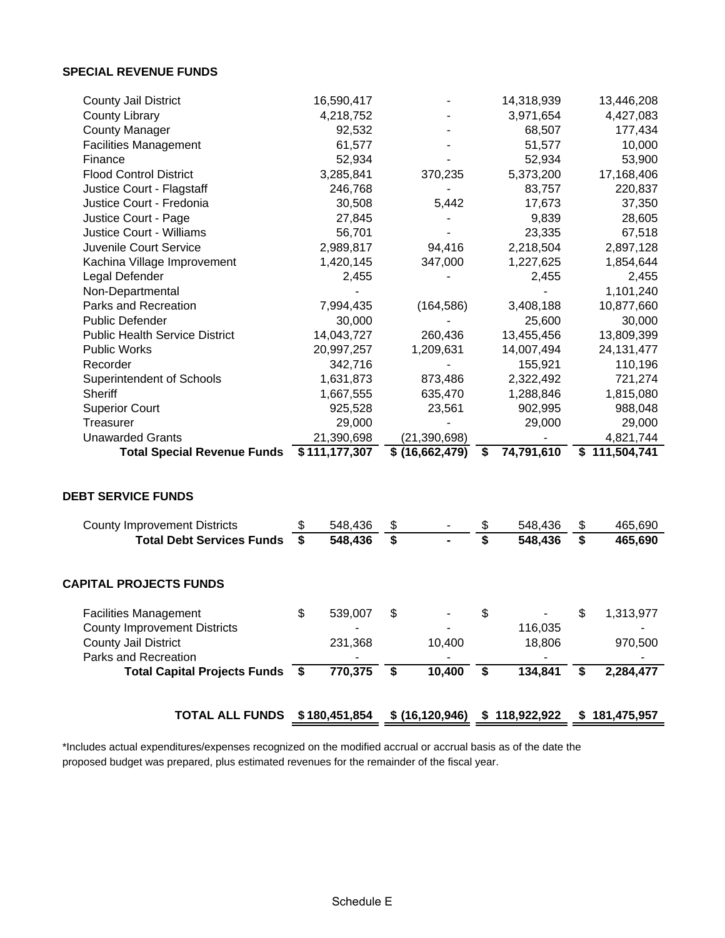#### **SPECIAL REVENUE FUNDS**

| <b>County Jail District</b>                                                 |         | 16,590,417    |                             |                 |    | 14,318,939 | 13,446,208      |
|-----------------------------------------------------------------------------|---------|---------------|-----------------------------|-----------------|----|------------|-----------------|
| <b>County Library</b>                                                       |         | 4,218,752     |                             |                 |    | 3,971,654  | 4,427,083       |
| <b>County Manager</b>                                                       |         | 92,532        |                             |                 |    | 68,507     | 177,434         |
| <b>Facilities Management</b>                                                |         | 61,577        |                             |                 |    | 51,577     | 10,000          |
| Finance                                                                     |         | 52,934        |                             |                 |    | 52,934     | 53,900          |
| <b>Flood Control District</b>                                               |         | 3,285,841     |                             | 370,235         |    | 5,373,200  | 17,168,406      |
| Justice Court - Flagstaff                                                   | 246,768 |               |                             |                 |    | 83,757     | 220,837         |
| Justice Court - Fredonia                                                    |         | 30,508        |                             | 5,442           |    | 17,673     | 37,350          |
| Justice Court - Page                                                        |         | 27,845        |                             |                 |    | 9,839      | 28,605          |
| <b>Justice Court - Williams</b>                                             |         | 56,701        |                             |                 |    | 23,335     | 67,518          |
| Juvenile Court Service                                                      |         | 2,989,817     |                             | 94,416          |    | 2,218,504  | 2,897,128       |
| Kachina Village Improvement                                                 |         | 1,420,145     |                             | 347,000         |    | 1,227,625  | 1,854,644       |
| Legal Defender                                                              |         | 2,455         |                             |                 |    | 2,455      | 2,455           |
| Non-Departmental                                                            |         |               |                             |                 |    |            | 1,101,240       |
| Parks and Recreation                                                        |         | 7,994,435     |                             | (164, 586)      |    | 3,408,188  | 10,877,660      |
| <b>Public Defender</b>                                                      |         | 30,000        |                             |                 |    | 25,600     | 30,000          |
| <b>Public Health Service District</b>                                       |         | 14,043,727    |                             | 260,436         |    | 13,455,456 | 13,809,399      |
| <b>Public Works</b>                                                         |         | 20,997,257    |                             | 1,209,631       |    | 14,007,494 | 24, 131, 477    |
| Recorder                                                                    |         | 342,716       |                             |                 |    | 155,921    | 110,196         |
| Superintendent of Schools                                                   |         | 1,631,873     |                             | 873,486         |    | 2,322,492  | 721,274         |
| Sheriff                                                                     |         | 1,667,555     |                             | 635,470         |    | 1,288,846  | 1,815,080       |
| <b>Superior Court</b>                                                       |         | 925,528       |                             | 23,561          |    | 902,995    | 988,048         |
| Treasurer                                                                   |         | 29,000        |                             |                 |    | 29,000     | 29,000          |
| <b>Unawarded Grants</b>                                                     |         | 21,390,698    |                             | (21, 390, 698)  |    |            | 4,821,744       |
| <b>Total Special Revenue Funds</b>                                          |         | \$111,177,307 |                             | \$ (16,662,479) | \$ | 74,791,610 | \$111,504,741   |
|                                                                             |         |               |                             |                 |    |            |                 |
| <b>DEBT SERVICE FUNDS</b>                                                   |         |               |                             |                 |    |            |                 |
|                                                                             |         |               |                             |                 |    |            |                 |
| <b>County Improvement Districts</b>                                         |         | 548,436       | \$                          |                 | \$ | 548,436    | \$<br>465,690   |
| <b>Total Debt Services Funds</b>                                            | \$      | 548,436       | $\overline{\boldsymbol{s}}$ |                 | \$ | 548,436    | \$<br>465,690   |
|                                                                             |         |               |                             |                 |    |            |                 |
| <b>CAPITAL PROJECTS FUNDS</b>                                               |         |               |                             |                 |    |            |                 |
|                                                                             |         |               |                             |                 |    |            |                 |
| <b>Facilities Management</b>                                                | \$      | 539,007       | \$                          |                 | \$ |            | \$<br>1,313,977 |
| <b>County Improvement Districts</b>                                         |         |               |                             |                 |    | 116,035    |                 |
| <b>County Jail District</b>                                                 |         | 231,368       |                             | 10,400          |    | 18,806     | 970,500         |
| Parks and Recreation                                                        |         |               |                             |                 |    |            |                 |
| Total Capital Projects Funds \$                                             |         | 770,375       | \$                          | 10,400          | \$ | 134,841    | \$<br>2,284,477 |
|                                                                             |         |               |                             |                 |    |            |                 |
| TOTAL ALL FUNDS \$180,451,854 \$ (16,120,946) \$ 118,922,922 \$ 181,475,957 |         |               |                             |                 |    |            |                 |

\*Includes actual expenditures/expenses recognized on the modified accrual or accrual basis as of the date the proposed budget was prepared, plus estimated revenues for the remainder of the fiscal year.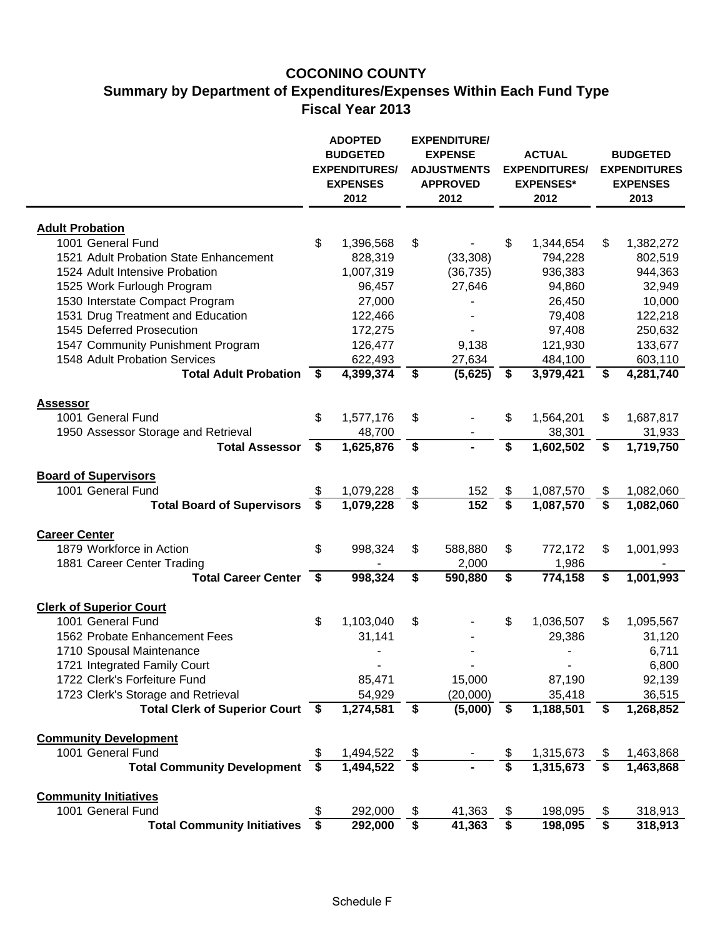# **COCONINO COUNTY Summary by Department of Expenditures/Expenses Within Each Fund Type Fiscal Year 2013**

|                                                          |      | <b>ADOPTED</b><br><b>BUDGETED</b><br><b>EXPENDITURES/</b><br><b>EXPENSES</b><br>2012 |                         | <b>EXPENDITURE/</b><br><b>EXPENSE</b><br><b>ADJUSTMENTS</b><br><b>APPROVED</b><br>2012 |                         | <b>ACTUAL</b><br><b>EXPENDITURES/</b><br><b>EXPENSES*</b><br>2012 |    | <b>BUDGETED</b><br><b>EXPENDITURES</b><br><b>EXPENSES</b><br>2013 |  |
|----------------------------------------------------------|------|--------------------------------------------------------------------------------------|-------------------------|----------------------------------------------------------------------------------------|-------------------------|-------------------------------------------------------------------|----|-------------------------------------------------------------------|--|
|                                                          |      |                                                                                      |                         |                                                                                        |                         |                                                                   |    |                                                                   |  |
| <b>Adult Probation</b>                                   |      |                                                                                      |                         |                                                                                        |                         |                                                                   |    |                                                                   |  |
| 1001 General Fund                                        | \$   | 1,396,568                                                                            | \$                      |                                                                                        | \$                      | 1,344,654                                                         | \$ | 1,382,272                                                         |  |
| 1521 Adult Probation State Enhancement                   |      | 828,319                                                                              |                         | (33, 308)                                                                              |                         | 794,228                                                           |    | 802,519                                                           |  |
| 1524 Adult Intensive Probation                           |      | 1,007,319                                                                            |                         | (36, 735)                                                                              |                         | 936,383                                                           |    | 944,363                                                           |  |
| 1525 Work Furlough Program                               |      | 96,457                                                                               |                         | 27,646                                                                                 |                         | 94,860                                                            |    | 32,949                                                            |  |
| 1530 Interstate Compact Program                          |      | 27,000                                                                               |                         |                                                                                        |                         | 26,450                                                            |    | 10,000                                                            |  |
| 1531 Drug Treatment and Education                        |      | 122,466                                                                              |                         |                                                                                        |                         | 79,408                                                            |    | 122,218                                                           |  |
| 1545 Deferred Prosecution                                |      | 172,275                                                                              |                         |                                                                                        |                         | 97,408                                                            |    | 250,632                                                           |  |
| 1547 Community Punishment Program                        |      | 126,477                                                                              |                         | 9,138                                                                                  |                         | 121,930                                                           |    | 133,677                                                           |  |
| 1548 Adult Probation Services                            |      | 622,493                                                                              |                         | 27,634                                                                                 |                         | 484,100                                                           |    | 603,110                                                           |  |
| <b>Total Adult Probation</b>                             | - \$ | 4,399,374                                                                            | \$                      | (5,625)                                                                                | \$                      | 3,979,421                                                         | \$ | 4,281,740                                                         |  |
|                                                          |      |                                                                                      |                         |                                                                                        |                         |                                                                   |    |                                                                   |  |
| <b>Assessor</b>                                          |      |                                                                                      |                         |                                                                                        |                         |                                                                   |    |                                                                   |  |
| 1001 General Fund                                        | \$   | 1,577,176                                                                            | \$                      | ۰                                                                                      | \$                      | 1,564,201                                                         | \$ | 1,687,817                                                         |  |
| 1950 Assessor Storage and Retrieval                      |      | 48,700                                                                               |                         |                                                                                        |                         | 38,301                                                            |    | 31,933                                                            |  |
| <b>Total Assessor</b>                                    | \$   | 1,625,876                                                                            | \$                      | $\blacksquare$                                                                         | $\overline{\mathsf{s}}$ | 1,602,502                                                         | \$ | 1,719,750                                                         |  |
|                                                          |      |                                                                                      |                         |                                                                                        |                         |                                                                   |    |                                                                   |  |
| <b>Board of Supervisors</b>                              |      |                                                                                      |                         |                                                                                        |                         |                                                                   |    |                                                                   |  |
| 1001 General Fund                                        | S    | 1,079,228                                                                            | \$                      | 152                                                                                    | \$                      | 1,087,570                                                         | \$ | 1,082,060                                                         |  |
| <b>Total Board of Supervisors</b>                        | S    | 1,079,228                                                                            | \$                      | 152                                                                                    | \$                      | 1,087,570                                                         | \$ | 1,082,060                                                         |  |
| <b>Career Center</b>                                     |      |                                                                                      |                         |                                                                                        |                         |                                                                   |    |                                                                   |  |
| 1879 Workforce in Action                                 | \$   | 998,324                                                                              |                         |                                                                                        |                         |                                                                   |    |                                                                   |  |
|                                                          |      |                                                                                      | \$                      | 588,880                                                                                | \$                      | 772,172                                                           | \$ | 1,001,993                                                         |  |
| 1881 Career Center Trading<br><b>Total Career Center</b> | S.   | 998,324                                                                              | \$                      | 2,000<br>590,880                                                                       | \$                      | 1,986<br>774,158                                                  | \$ | 1,001,993                                                         |  |
|                                                          |      |                                                                                      |                         |                                                                                        |                         |                                                                   |    |                                                                   |  |
| <b>Clerk of Superior Court</b>                           |      |                                                                                      |                         |                                                                                        |                         |                                                                   |    |                                                                   |  |
| 1001 General Fund                                        | \$   | 1,103,040                                                                            | \$                      |                                                                                        | \$                      | 1,036,507                                                         | \$ | 1,095,567                                                         |  |
| 1562 Probate Enhancement Fees                            |      | 31,141                                                                               |                         |                                                                                        |                         | 29,386                                                            |    | 31,120                                                            |  |
| 1710 Spousal Maintenance                                 |      |                                                                                      |                         |                                                                                        |                         |                                                                   |    | 6,711                                                             |  |
| 1721 Integrated Family Court                             |      |                                                                                      |                         |                                                                                        |                         |                                                                   |    | 6,800                                                             |  |
| 1722 Clerk's Forfeiture Fund                             |      | 85,471                                                                               |                         | 15,000                                                                                 |                         | 87,190                                                            |    | 92,139                                                            |  |
| 1723 Clerk's Storage and Retrieval                       |      | 54,929                                                                               |                         | (20,000)                                                                               |                         | 35,418                                                            |    | 36,515                                                            |  |
| Total Clerk of Superior Court \$                         |      | 1,274,581                                                                            | \$                      | (5,000)                                                                                | \$                      | 1,188,501                                                         | \$ | 1,268,852                                                         |  |
|                                                          |      |                                                                                      |                         |                                                                                        |                         |                                                                   |    |                                                                   |  |
| <b>Community Development</b>                             |      |                                                                                      |                         |                                                                                        |                         |                                                                   |    |                                                                   |  |
| 1001 General Fund                                        | \$   | 1,494,522                                                                            | \$                      |                                                                                        | $\frac{1}{2}$           | 1,315,673                                                         | \$ | 1,463,868                                                         |  |
| <b>Total Community Development</b>                       | - \$ | 1,494,522                                                                            | $\overline{\mathbf{s}}$ |                                                                                        | $\overline{\mathbf{s}}$ | 1,315,673                                                         | \$ | 1,463,868                                                         |  |
|                                                          |      |                                                                                      |                         |                                                                                        |                         |                                                                   |    |                                                                   |  |
| <b>Community Initiatives</b>                             |      |                                                                                      |                         |                                                                                        |                         |                                                                   |    |                                                                   |  |
| 1001 General Fund                                        |      | 292,000                                                                              | \$                      | 41,363                                                                                 | \$                      | 198,095                                                           | \$ | 318,913                                                           |  |
| <b>Total Community Initiatives</b>                       | \$   | 292,000                                                                              | \$                      | 41,363                                                                                 | \$                      | 198,095                                                           | \$ | 318,913                                                           |  |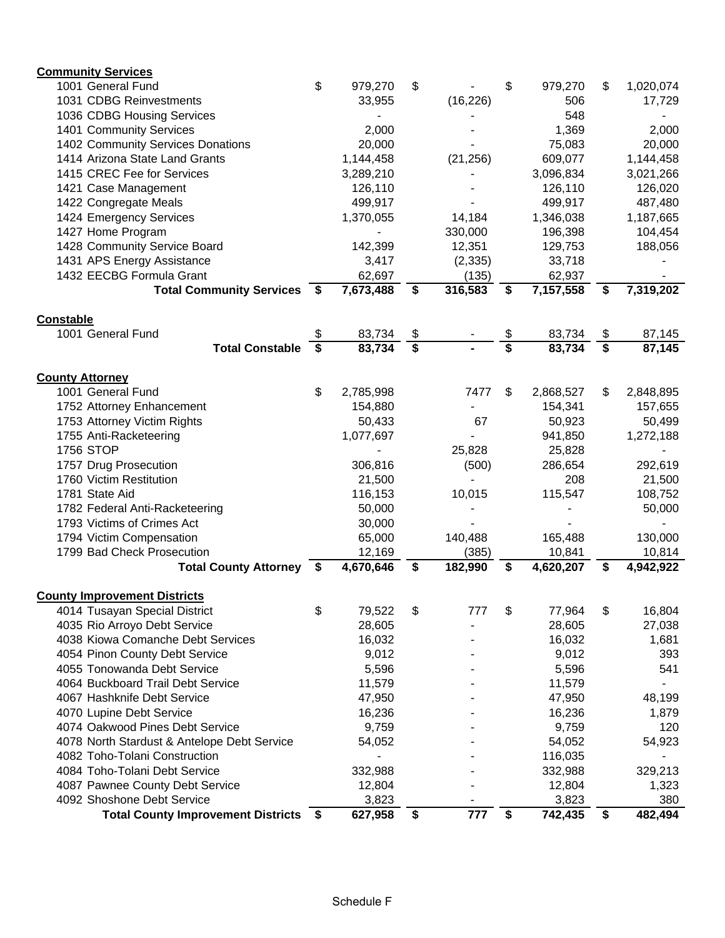| <b>Community Services</b>                                            |     |           |               |           |                                      |           |                 |
|----------------------------------------------------------------------|-----|-----------|---------------|-----------|--------------------------------------|-----------|-----------------|
| 1001 General Fund                                                    | \$  | 979,270   | \$            |           | \$                                   | 979,270   | \$<br>1,020,074 |
| 1031 CDBG Reinvestments                                              |     | 33,955    |               | (16, 226) |                                      | 506       | 17,729          |
| 1036 CDBG Housing Services                                           |     |           |               |           |                                      | 548       |                 |
| 1401 Community Services                                              |     | 2,000     |               |           |                                      | 1,369     | 2,000           |
| 1402 Community Services Donations                                    |     | 20,000    |               |           |                                      | 75,083    | 20,000          |
| 1414 Arizona State Land Grants                                       |     | 1,144,458 |               | (21, 256) |                                      | 609,077   | 1,144,458       |
| 1415 CREC Fee for Services                                           |     | 3,289,210 |               |           |                                      | 3,096,834 | 3,021,266       |
| 1421 Case Management                                                 |     | 126,110   |               |           |                                      | 126,110   | 126,020         |
| 1422 Congregate Meals                                                |     | 499,917   |               |           |                                      | 499,917   | 487,480         |
| 1424 Emergency Services                                              |     | 1,370,055 |               | 14,184    |                                      | 1,346,038 | 1,187,665       |
| 1427 Home Program                                                    |     |           |               | 330,000   |                                      | 196,398   | 104,454         |
| 1428 Community Service Board                                         |     | 142,399   |               | 12,351    |                                      | 129,753   | 188,056         |
| 1431 APS Energy Assistance                                           |     | 3,417     |               | (2, 335)  |                                      | 33,718    |                 |
| 1432 EECBG Formula Grant                                             |     | 62,697    |               | (135)     |                                      | 62,937    |                 |
| <b>Total Community Services</b>                                      | - 5 | 7,673,488 | \$            | 316,583   | \$                                   | 7,157,558 | \$<br>7,319,202 |
| <b>Constable</b>                                                     |     |           |               |           |                                      |           |                 |
| 1001 General Fund                                                    | \$  | 83,734    | $\frac{1}{2}$ |           | \$                                   | 83,734    | \$<br>87,145    |
| <b>Total Constable</b>                                               | \$  | 83,734    | \$            |           | $\overline{\boldsymbol{\mathsf{s}}}$ | 83,734    | \$<br>87,145    |
|                                                                      |     |           |               |           |                                      |           |                 |
| <b>County Attorney</b>                                               |     |           |               |           |                                      |           |                 |
| 1001 General Fund                                                    | \$  | 2,785,998 |               | 7477      | \$                                   | 2,868,527 | \$<br>2,848,895 |
| 1752 Attorney Enhancement                                            |     | 154,880   |               |           |                                      | 154,341   | 157,655         |
| 1753 Attorney Victim Rights                                          |     | 50,433    |               | 67        |                                      | 50,923    | 50,499          |
| 1755 Anti-Racketeering                                               |     | 1,077,697 |               |           |                                      | 941,850   | 1,272,188       |
| <b>1756 STOP</b>                                                     |     |           |               | 25,828    |                                      | 25,828    |                 |
| 1757 Drug Prosecution                                                |     | 306,816   |               | (500)     |                                      | 286,654   | 292,619         |
| 1760 Victim Restitution                                              |     | 21,500    |               |           |                                      | 208       | 21,500          |
| 1781 State Aid                                                       |     | 116,153   |               | 10,015    |                                      | 115,547   | 108,752         |
| 1782 Federal Anti-Racketeering                                       |     | 50,000    |               |           |                                      |           | 50,000          |
| 1793 Victims of Crimes Act                                           |     | 30,000    |               |           |                                      |           |                 |
| 1794 Victim Compensation                                             |     | 65,000    |               | 140,488   |                                      | 165,488   | 130,000         |
| 1799 Bad Check Prosecution                                           |     | 12,169    |               | (385)     |                                      | 10,841    | 10,814          |
| Total County Attorney \$                                             |     | 4,670,646 | \$            | 182,990   | \$                                   | 4,620,207 | \$<br>4,942,922 |
|                                                                      |     |           |               |           |                                      |           |                 |
| <b>County Improvement Districts</b><br>4014 Tusayan Special District | \$  | 79,522    | \$            | 777       | \$                                   | 77,964    | \$<br>16,804    |
| 4035 Rio Arroyo Debt Service                                         |     | 28,605    |               |           |                                      | 28,605    | 27,038          |
| 4038 Kiowa Comanche Debt Services                                    |     | 16,032    |               |           |                                      | 16,032    | 1,681           |
| 4054 Pinon County Debt Service                                       |     | 9,012     |               |           |                                      | 9,012     | 393             |
| 4055 Tonowanda Debt Service                                          |     | 5,596     |               |           |                                      | 5,596     | 541             |
| 4064 Buckboard Trail Debt Service                                    |     | 11,579    |               |           |                                      | 11,579    |                 |
| 4067 Hashknife Debt Service                                          |     | 47,950    |               |           |                                      | 47,950    | 48,199          |
| 4070 Lupine Debt Service                                             |     | 16,236    |               |           |                                      | 16,236    |                 |
| 4074 Oakwood Pines Debt Service                                      |     | 9,759     |               |           |                                      | 9,759     | 1,879<br>120    |
| 4078 North Stardust & Antelope Debt Service                          |     | 54,052    |               |           |                                      | 54,052    | 54,923          |
| 4082 Toho-Tolani Construction                                        |     |           |               |           |                                      | 116,035   |                 |
| 4084 Toho-Tolani Debt Service                                        |     | 332,988   |               |           |                                      | 332,988   | 329,213         |
| 4087 Pawnee County Debt Service                                      |     | 12,804    |               |           |                                      | 12,804    | 1,323           |
| 4092 Shoshone Debt Service                                           |     | 3,823     |               |           |                                      | 3,823     | 380             |
| Total County Improvement Districts \$                                |     | 627,958   | \$            | 777       | \$                                   | 742,435   | \$<br>482,494   |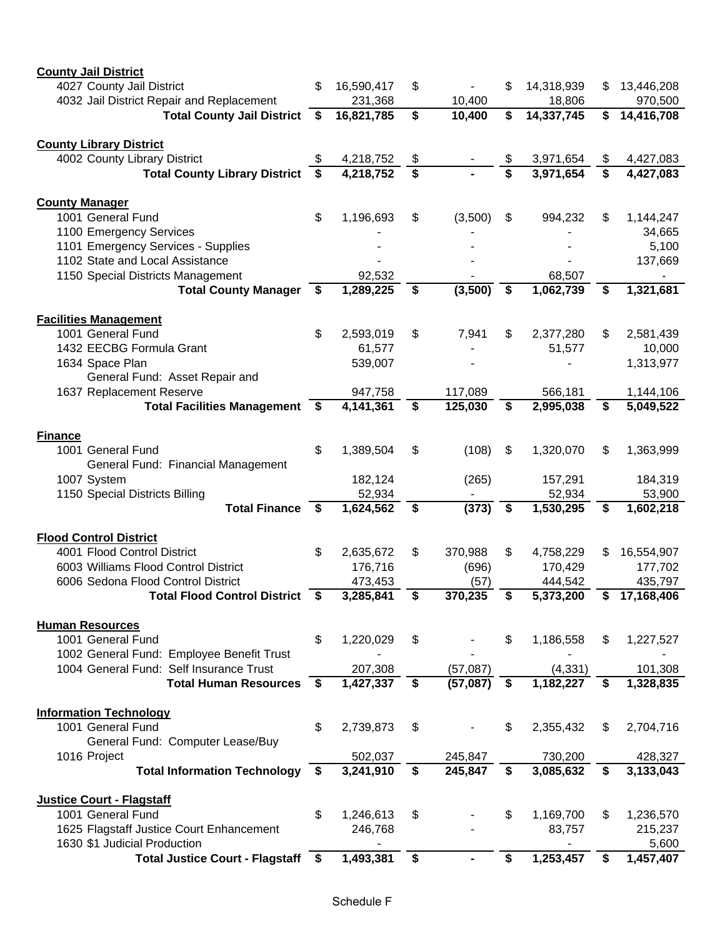| <b>County Jail District</b>                           |     |            |                             |          |                             |            |     |                        |
|-------------------------------------------------------|-----|------------|-----------------------------|----------|-----------------------------|------------|-----|------------------------|
| 4027 County Jail District                             |     | 16,590,417 | \$                          |          | \$                          | 14,318,939 | S   | 13,446,208             |
| 4032 Jail District Repair and Replacement             |     | 231,368    |                             | 10,400   |                             | 18,806     |     | 970,500                |
| <b>Total County Jail District</b>                     | \$  | 16,821,785 | \$                          | 10,400   | \$                          | 14,337,745 | \$  | 14,416,708             |
| <b>County Library District</b>                        |     |            |                             |          |                             |            |     |                        |
| 4002 County Library District                          | S   | 4,218,752  | \$                          |          | \$                          | 3,971,654  | \$  | 4,427,083              |
| <b>Total County Library District</b>                  | S   | 4,218,752  | $\overline{\boldsymbol{s}}$ |          | $\overline{\boldsymbol{s}}$ | 3,971,654  | \$  | 4,427,083              |
| <b>County Manager</b>                                 |     |            |                             |          |                             |            |     |                        |
| 1001 General Fund                                     | \$  | 1,196,693  | \$                          | (3,500)  | \$                          | 994,232    | \$  | 1,144,247              |
| 1100 Emergency Services                               |     |            |                             |          |                             |            |     | 34,665                 |
| 1101 Emergency Services - Supplies                    |     |            |                             |          |                             |            |     | 5,100                  |
| 1102 State and Local Assistance                       |     |            |                             |          |                             |            |     | 137,669                |
| 1150 Special Districts Management                     |     | 92,532     |                             |          |                             | 68,507     |     | $\blacksquare$         |
| <b>Total County Manager</b>                           | \$  | 1,289,225  | \$                          | (3,500)  | \$                          | 1,062,739  | \$  | $\overline{1,}321,681$ |
| <b>Facilities Management</b>                          |     |            |                             |          |                             |            |     |                        |
| 1001 General Fund                                     | \$  | 2,593,019  | \$                          | 7,941    | \$                          | 2,377,280  | \$  | 2,581,439              |
| 1432 EECBG Formula Grant                              |     | 61,577     |                             |          |                             | 51,577     |     | 10,000                 |
| 1634 Space Plan                                       |     | 539,007    |                             |          |                             |            |     | 1,313,977              |
| General Fund: Asset Repair and                        |     |            |                             |          |                             |            |     |                        |
| 1637 Replacement Reserve                              |     | 947,758    |                             | 117,089  |                             | 566,181    |     | 1,144,106              |
| Total Facilities Management \$                        |     | 4,141,361  | \$                          | 125,030  | \$                          | 2,995,038  | \$  | 5,049,522              |
| <b>Finance</b>                                        |     |            |                             |          |                             |            |     |                        |
| 1001 General Fund                                     | \$  | 1,389,504  | \$                          | (108)    | \$                          | 1,320,070  | \$. | 1,363,999              |
| General Fund: Financial Management                    |     |            |                             |          |                             |            |     |                        |
| 1007 System                                           |     | 182,124    |                             | (265)    |                             | 157,291    |     | 184,319                |
| 1150 Special Districts Billing                        |     | 52,934     |                             |          |                             | 52,934     |     | 53,900                 |
| Total Finance \$                                      |     | 1,624,562  | \$                          | (373)    | \$                          | 1,530,295  | \$  | 1,602,218              |
| <b>Flood Control District</b>                         |     |            |                             |          |                             |            |     |                        |
| 4001 Flood Control District                           | \$  | 2,635,672  | \$                          | 370,988  | \$                          | 4,758,229  | S   | 16,554,907             |
| 6003 Williams Flood Control District                  |     | 176,716    |                             | (696)    |                             | 170,429    |     | 177,702                |
| 6006 Sedona Flood Control District                    |     | 473,453    |                             | (57)     |                             | 444,542    |     | 435,797                |
| <b>Total Flood Control District</b>                   | -\$ | 3,285,841  | \$                          | 370,235  | \$                          | 5,373,200  | \$  | 17,168,406             |
| <b>Human Resources</b>                                |     |            |                             |          |                             |            |     |                        |
| 1001 General Fund                                     | \$  | 1,220,029  | \$                          |          | \$                          | 1,186,558  | \$  | 1,227,527              |
| 1002 General Fund: Employee Benefit Trust             |     |            |                             |          |                             |            |     |                        |
| 1004 General Fund: Self Insurance Trust               |     | 207,308    |                             | (57,087) |                             | (4, 331)   |     | 101,308                |
| <b>Total Human Resources</b>                          | \$  | 1,427,337  | \$                          | (57,087) | \$                          | 1,182,227  | \$  | 1,328,835              |
| <b>Information Technology</b>                         |     |            |                             |          |                             |            |     |                        |
| 1001 General Fund                                     | \$  | 2,739,873  | \$                          |          | \$                          | 2,355,432  | \$  | 2,704,716              |
| General Fund: Computer Lease/Buy                      |     |            |                             |          |                             |            |     |                        |
| 1016 Project                                          |     | 502,037    |                             | 245,847  |                             | 730,200    |     | 428,327                |
| Total Information Technology \$                       |     | 3,241,910  | \$                          | 245,847  | \$                          | 3,085,632  | \$  | 3,133,043              |
|                                                       |     |            |                             |          |                             |            |     |                        |
| <b>Justice Court - Flagstaff</b><br>1001 General Fund | \$  | 1,246,613  | \$                          |          | \$                          | 1,169,700  | \$  | 1,236,570              |
| 1625 Flagstaff Justice Court Enhancement              |     | 246,768    |                             |          |                             | 83,757     |     | 215,237                |
| 1630 \$1 Judicial Production                          |     |            |                             |          |                             |            |     | 5,600                  |
| <b>Total Justice Court - Flagstaff</b>                | \$  | 1,493,381  | \$                          |          | \$                          | 1,253,457  | \$  | 1,457,407              |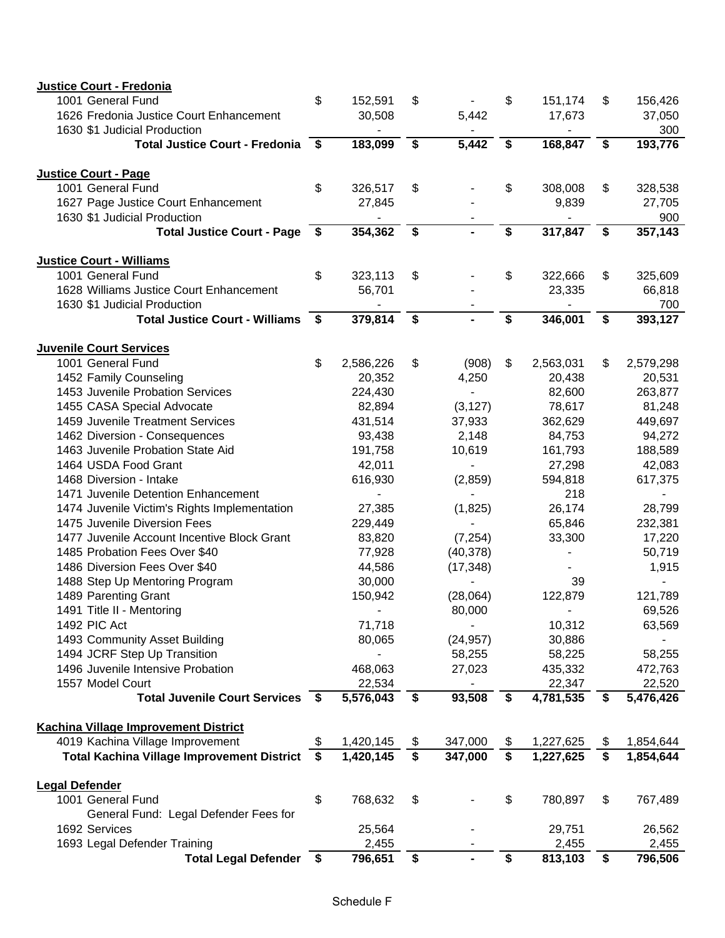| Justice Court - Fredonia                          |    |                |                            |                                      |                |                 |
|---------------------------------------------------|----|----------------|----------------------------|--------------------------------------|----------------|-----------------|
| 1001 General Fund                                 | \$ | 152,591        | \$                         | \$                                   | 151,174        | \$<br>156,426   |
| 1626 Fredonia Justice Court Enhancement           |    | 30,508         | 5,442                      |                                      | 17,673         | 37,050          |
| 1630 \$1 Judicial Production                      |    |                |                            |                                      |                | 300             |
| <b>Total Justice Court - Fredonia</b>             | -S | 183,099        | \$<br>5,442                | \$                                   | 168,847        | \$<br>193,776   |
| <b>Justice Court - Page</b>                       |    |                |                            |                                      |                |                 |
| 1001 General Fund                                 | \$ | 326,517        | \$                         | \$                                   | 308,008        | \$<br>328,538   |
| 1627 Page Justice Court Enhancement               |    | 27,845         |                            |                                      | 9,839          | 27,705          |
| 1630 \$1 Judicial Production                      |    |                |                            |                                      |                | 900             |
| Total Justice Court - Page \$                     |    | 354,362        | \$                         | $\overline{\boldsymbol{\mathsf{s}}}$ | 317,847        | \$<br>357,143   |
| <b>Justice Court - Williams</b>                   |    |                |                            |                                      |                |                 |
| 1001 General Fund                                 | \$ | 323,113        | \$                         | \$                                   | 322,666        | \$<br>325,609   |
| 1628 Williams Justice Court Enhancement           |    | 56,701         |                            |                                      | 23,335         | 66,818          |
| 1630 \$1 Judicial Production                      |    |                |                            |                                      |                | 700             |
| <b>Total Justice Court - Williams</b>             | \$ | 379,814        | \$<br>$\blacksquare$       | \$                                   | 346,001        | \$<br>393,127   |
| <b>Juvenile Court Services</b>                    |    |                |                            |                                      |                |                 |
| 1001 General Fund                                 | \$ | 2,586,226      | \$<br>(908)                | \$                                   | 2,563,031      | \$<br>2,579,298 |
| 1452 Family Counseling                            |    | 20,352         | 4,250                      |                                      | 20,438         | 20,531          |
| 1453 Juvenile Probation Services                  |    | 224,430        | $\overline{\phantom{a}}$   |                                      | 82,600         | 263,877         |
| 1455 CASA Special Advocate                        |    | 82,894         | (3, 127)                   |                                      | 78,617         | 81,248          |
| 1459 Juvenile Treatment Services                  |    | 431,514        | 37,933                     |                                      | 362,629        | 449,697         |
| 1462 Diversion - Consequences                     |    | 93,438         | 2,148                      |                                      | 84,753         | 94,272          |
| 1463 Juvenile Probation State Aid                 |    | 191,758        | 10,619                     |                                      | 161,793        | 188,589         |
| 1464 USDA Food Grant                              |    | 42,011         | $\blacksquare$             |                                      | 27,298         | 42,083          |
| 1468 Diversion - Intake                           |    | 616,930        | (2,859)                    |                                      | 594,818        | 617,375         |
| 1471 Juvenile Detention Enhancement               |    | $\blacksquare$ | $\blacksquare$             |                                      | 218            | $\sim$          |
| 1474 Juvenile Victim's Rights Implementation      |    | 27,385         | (1,825)                    |                                      | 26,174         | 28,799          |
| 1475 Juvenile Diversion Fees                      |    | 229,449        |                            |                                      | 65,846         | 232,381         |
| 1477 Juvenile Account Incentive Block Grant       |    | 83,820         | (7, 254)                   |                                      | 33,300         | 17,220          |
| 1485 Probation Fees Over \$40                     |    | 77,928         | (40, 378)                  |                                      | $\overline{a}$ | 50,719          |
| 1486 Diversion Fees Over \$40                     |    | 44,586         | (17, 348)                  |                                      |                | 1,915           |
| 1488 Step Up Mentoring Program                    |    | 30,000         |                            |                                      | 39             |                 |
| 1489 Parenting Grant                              |    | 150,942        | (28,064)                   |                                      | 122,879        | 121,789         |
| 1491 Title II - Mentoring                         |    | $\sim$         | 80,000                     |                                      |                | 69,526          |
| 1492 PIC Act                                      |    | 71,718         |                            |                                      | 10,312         | 63,569          |
| 1493 Community Asset Building                     |    | 80,065         | (24, 957)                  |                                      | 30,886         |                 |
| 1494 JCRF Step Up Transition                      |    |                | 58,255                     |                                      | 58,225         | 58,255          |
| 1496 Juvenile Intensive Probation                 |    | 468,063        | 27,023                     |                                      | 435,332        | 472,763         |
| 1557 Model Court                                  |    | 22,534         |                            |                                      | 22,347         | 22,520          |
| Total Juvenile Court Services \$                  |    | 5,576,043      | \$<br>93,508               | \$                                   | 4,781,535      | \$<br>5,476,426 |
| <b>Kachina Village Improvement District</b>       |    |                |                            |                                      |                |                 |
| 4019 Kachina Village Improvement                  |    | 1,420,145      | \$<br>347,000              | \$                                   | 1,227,625      | \$<br>1,854,644 |
| <b>Total Kachina Village Improvement District</b> | \$ | 1,420,145      | \$<br>$\overline{347,000}$ | $\overline{\boldsymbol{s}}$          | 1,227,625      | \$<br>1,854,644 |
| <b>Legal Defender</b>                             |    |                |                            |                                      |                |                 |
| 1001 General Fund                                 | \$ | 768,632        | \$                         | \$                                   | 780,897        | \$<br>767,489   |
| General Fund: Legal Defender Fees for             |    |                |                            |                                      |                |                 |
| 1692 Services                                     |    | 25,564         |                            |                                      | 29,751         | 26,562          |
| 1693 Legal Defender Training                      |    | 2,455          |                            |                                      | 2,455          | 2,455           |
| Total Legal Defender \$                           |    | 796,651        | \$<br>$\blacksquare$       | \$                                   | 813,103        | \$<br>796,506   |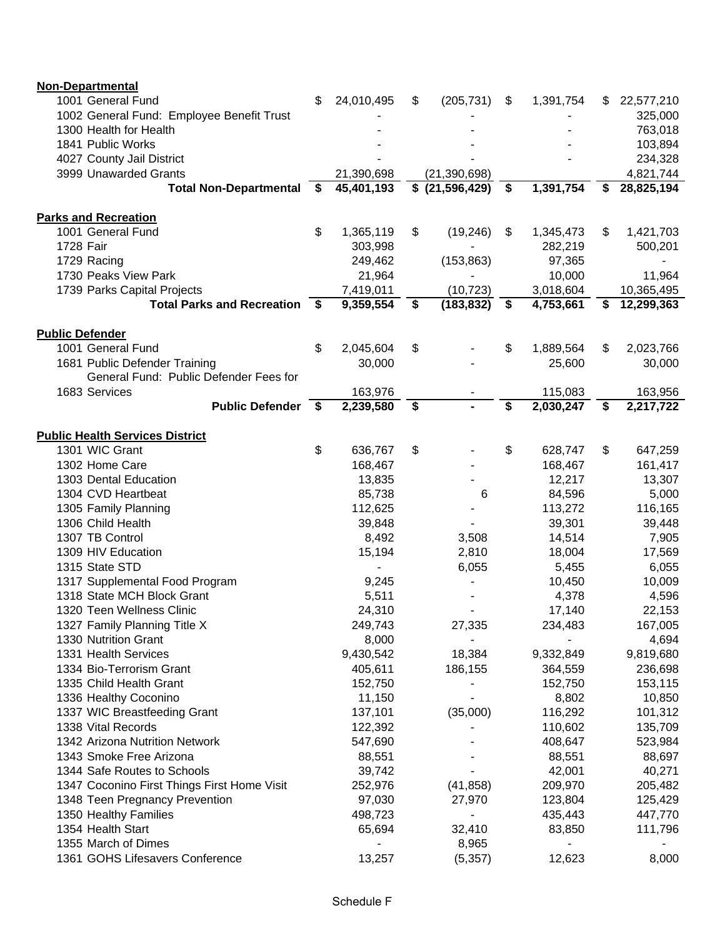| Non-Departmental                            |      |            |                  |                 |    |            |
|---------------------------------------------|------|------------|------------------|-----------------|----|------------|
| 1001 General Fund                           | \$   | 24,010,495 | \$<br>(205, 731) | \$<br>1,391,754 | S  | 22,577,210 |
| 1002 General Fund: Employee Benefit Trust   |      |            |                  |                 |    | 325,000    |
| 1300 Health for Health                      |      |            |                  |                 |    | 763,018    |
| 1841 Public Works                           |      |            |                  |                 |    | 103,894    |
| 4027 County Jail District                   |      |            |                  |                 |    | 234,328    |
| 3999 Unawarded Grants                       |      | 21,390,698 | (21, 390, 698)   |                 |    | 4,821,744  |
| <b>Total Non-Departmental</b>               | - \$ | 45,401,193 | $$$ (21,596,429) | \$<br>1,391,754 | S  | 28,825,194 |
|                                             |      |            |                  |                 |    |            |
| <b>Parks and Recreation</b>                 |      |            |                  |                 |    |            |
| 1001 General Fund                           | \$   | 1,365,119  | \$<br>(19, 246)  | \$<br>1,345,473 | \$ | 1,421,703  |
| 1728 Fair                                   |      | 303,998    |                  | 282,219         |    | 500,201    |
| 1729 Racing                                 |      | 249,462    | (153, 863)       | 97,365          |    |            |
| 1730 Peaks View Park                        |      | 21,964     |                  | 10,000          |    | 11,964     |
| 1739 Parks Capital Projects                 |      | 7,419,011  | (10, 723)        | 3,018,604       |    | 10,365,495 |
| Total Parks and Recreation \$               |      | 9,359,554  | \$<br>(183, 832) | \$<br>4,753,661 | \$ | 12,299,363 |
|                                             |      |            |                  |                 |    |            |
| <b>Public Defender</b>                      |      |            |                  |                 |    |            |
| 1001 General Fund                           | \$   | 2,045,604  | \$               | \$<br>1,889,564 | \$ | 2,023,766  |
| 1681 Public Defender Training               |      | 30,000     |                  | 25,600          |    | 30,000     |
| General Fund: Public Defender Fees for      |      |            |                  |                 |    |            |
| 1683 Services                               |      | 163,976    |                  | 115,083         |    | 163,956    |
| <b>Public Defender</b>                      | \$   | 2,239,580  | \$               | \$<br>2,030,247 | \$ | 2,217,722  |
| <b>Public Health Services District</b>      |      |            |                  |                 |    |            |
| 1301 WIC Grant                              | \$   | 636,767    | \$               | \$<br>628,747   | \$ | 647,259    |
| 1302 Home Care                              |      | 168,467    |                  | 168,467         |    | 161,417    |
| 1303 Dental Education                       |      | 13,835     |                  | 12,217          |    | 13,307     |
| 1304 CVD Heartbeat                          |      |            |                  |                 |    |            |
|                                             |      | 85,738     | 6                | 84,596          |    | 5,000      |
| 1305 Family Planning<br>1306 Child Health   |      | 112,625    |                  | 113,272         |    | 116,165    |
|                                             |      | 39,848     |                  | 39,301          |    | 39,448     |
| 1307 TB Control                             |      | 8,492      | 3,508            | 14,514          |    | 7,905      |
| 1309 HIV Education                          |      | 15,194     | 2,810            | 18,004          |    | 17,569     |
| 1315 State STD                              |      |            | 6,055            | 5,455           |    | 6,055      |
| 1317 Supplemental Food Program              |      | 9,245      |                  | 10,450          |    | 10,009     |
| 1318 State MCH Block Grant                  |      | 5,511      |                  | 4,378           |    | 4,596      |
| 1320 Teen Wellness Clinic                   |      | 24,310     |                  | 17,140          |    | 22,153     |
| 1327 Family Planning Title X                |      | 249,743    | 27,335           | 234,483         |    | 167,005    |
| 1330 Nutrition Grant                        |      | 8,000      | $\sim$           |                 |    | 4,694      |
| 1331 Health Services                        |      | 9,430,542  | 18,384           | 9,332,849       |    | 9,819,680  |
| 1334 Bio-Terrorism Grant                    |      | 405,611    | 186,155          | 364,559         |    | 236,698    |
| 1335 Child Health Grant                     |      | 152,750    |                  | 152,750         |    | 153,115    |
| 1336 Healthy Coconino                       |      | 11,150     | $\blacksquare$   | 8,802           |    | 10,850     |
| 1337 WIC Breastfeeding Grant                |      | 137,101    | (35,000)         | 116,292         |    | 101,312    |
| 1338 Vital Records                          |      | 122,392    |                  | 110,602         |    | 135,709    |
| 1342 Arizona Nutrition Network              |      | 547,690    |                  | 408,647         |    | 523,984    |
| 1343 Smoke Free Arizona                     |      | 88,551     |                  | 88,551          |    | 88,697     |
| 1344 Safe Routes to Schools                 |      | 39,742     |                  | 42,001          |    | 40,271     |
| 1347 Coconino First Things First Home Visit |      | 252,976    | (41, 858)        | 209,970         |    | 205,482    |
| 1348 Teen Pregnancy Prevention              |      | 97,030     | 27,970           | 123,804         |    | 125,429    |
| 1350 Healthy Families                       |      | 498,723    | ٠                | 435,443         |    | 447,770    |
| 1354 Health Start                           |      | 65,694     | 32,410           | 83,850          |    | 111,796    |
| 1355 March of Dimes                         |      |            | 8,965            |                 |    |            |
| 1361 GOHS Lifesavers Conference             |      | 13,257     | (5, 357)         | 12,623          |    | 8,000      |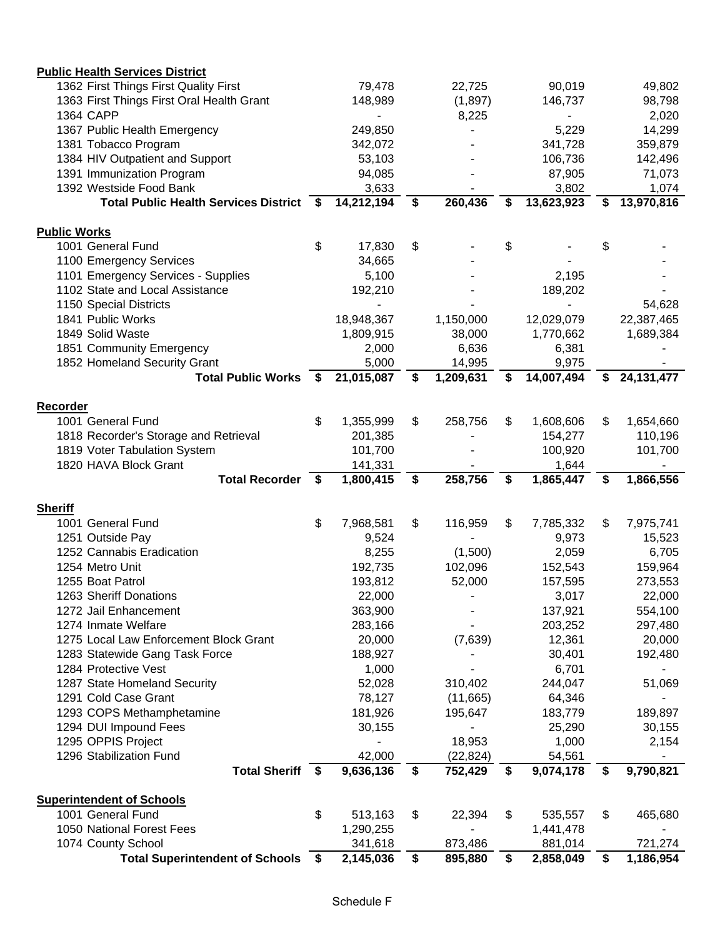| <b>Public Health Services District</b>                       |                    |                      |                            |                            |    |                      |
|--------------------------------------------------------------|--------------------|----------------------|----------------------------|----------------------------|----|----------------------|
| 1362 First Things First Quality First                        |                    | 79,478               | 22,725                     | 90,019                     |    | 49,802               |
| 1363 First Things First Oral Health Grant                    |                    | 148,989              | (1,897)                    | 146,737                    |    | 98,798               |
| <b>1364 CAPP</b>                                             |                    |                      | 8,225                      |                            |    | 2,020                |
| 1367 Public Health Emergency                                 |                    | 249,850              |                            | 5,229                      |    | 14,299               |
| 1381 Tobacco Program                                         |                    | 342,072              |                            | 341,728                    |    | 359,879              |
| 1384 HIV Outpatient and Support                              |                    | 53,103               |                            | 106,736                    |    | 142,496              |
| 1391 Immunization Program                                    |                    | 94,085               |                            | 87,905                     |    | 71,073               |
| 1392 Westside Food Bank                                      |                    | 3,633                |                            | 3,802                      |    | 1,074                |
| Total Public Health Services District \$                     |                    | 14,212,194           | \$<br>260,436              | \$<br>13,623,923           | \$ | 13,970,816           |
|                                                              |                    |                      |                            |                            |    |                      |
| <b>Public Works</b>                                          |                    |                      |                            |                            |    |                      |
| 1001 General Fund                                            | \$                 | 17,830               | \$                         | \$                         | \$ |                      |
| 1100 Emergency Services                                      |                    | 34,665               |                            |                            |    |                      |
| 1101 Emergency Services - Supplies                           |                    | 5,100                |                            | 2,195                      |    |                      |
| 1102 State and Local Assistance                              |                    | 192,210              |                            | 189,202                    |    |                      |
| 1150 Special Districts                                       |                    |                      |                            |                            |    | 54,628               |
| 1841 Public Works                                            |                    | 18,948,367           | 1,150,000                  | 12,029,079                 |    | 22,387,465           |
| 1849 Solid Waste                                             |                    | 1,809,915            | 38,000                     | 1,770,662                  |    | 1,689,384            |
| 1851 Community Emergency                                     |                    | 2,000                | 6,636                      | 6,381                      |    |                      |
| 1852 Homeland Security Grant                                 |                    | 5,000                | 14,995                     | 9,975                      |    |                      |
| <b>Total Public Works</b>                                    | - \$               | 21,015,087           | \$<br>1,209,631            | \$<br>14,007,494           | S  | 24, 131, 477         |
| Recorder                                                     |                    |                      |                            |                            |    |                      |
| 1001 General Fund                                            | \$                 | 1,355,999            | \$<br>258,756              | \$<br>1,608,606            | \$ | 1,654,660            |
| 1818 Recorder's Storage and Retrieval                        |                    | 201,385              |                            | 154,277                    |    | 110,196              |
| 1819 Voter Tabulation System                                 |                    | 101,700              |                            | 100,920                    |    | 101,700              |
| 1820 HAVA Block Grant                                        |                    | 141,331              |                            | 1,644                      |    |                      |
|                                                              |                    |                      |                            |                            |    |                      |
|                                                              |                    |                      |                            |                            |    |                      |
| <b>Total Recorder</b>                                        | $\mathbf{\hat{s}}$ | 1,800,415            | \$<br>258,756              | \$<br>1,865,447            | \$ | 1,866,556            |
|                                                              |                    |                      |                            |                            |    |                      |
| <b>Sheriff</b><br>1001 General Fund                          | \$                 |                      | \$                         | \$                         | \$ |                      |
| 1251 Outside Pay                                             |                    | 7,968,581<br>9,524   | 116,959                    | 7,785,332<br>9,973         |    | 7,975,741<br>15,523  |
|                                                              |                    |                      |                            |                            |    |                      |
| 1252 Cannabis Eradication<br>1254 Metro Unit                 |                    | 8,255                | (1,500)                    | 2,059                      |    | 6,705                |
| 1255 Boat Patrol                                             |                    | 192,735<br>193,812   | 102,096                    | 152,543                    |    | 159,964              |
| 1263 Sheriff Donations                                       |                    |                      | 52,000                     | 157,595                    |    | 273,553              |
|                                                              |                    | 22,000               |                            | 3,017                      |    | 22,000               |
| 1272 Jail Enhancement                                        |                    | 363,900              |                            | 137,921                    |    | 554,100              |
| 1274 Inmate Welfare                                          |                    | 283,166              |                            | 203,252                    |    | 297,480              |
| 1275 Local Law Enforcement Block Grant                       |                    | 20,000               | (7,639)                    | 12,361                     |    | 20,000               |
| 1283 Statewide Gang Task Force                               |                    | 188,927              |                            | 30,401                     |    | 192,480              |
| 1284 Protective Vest                                         |                    | 1,000                |                            | 6,701                      |    |                      |
| 1287 State Homeland Security                                 |                    | 52,028               | 310,402                    | 244,047                    |    | 51,069               |
| 1291 Cold Case Grant                                         |                    | 78,127               | (11,665)                   | 64,346                     |    |                      |
| 1293 COPS Methamphetamine                                    |                    | 181,926              | 195,647                    | 183,779                    |    | 189,897              |
| 1294 DUI Impound Fees                                        |                    | 30,155               |                            | 25,290                     |    | 30,155               |
| 1295 OPPIS Project                                           |                    |                      | 18,953                     | 1,000                      |    | 2,154                |
| 1296 Stabilization Fund<br>Total Sheriff \$                  |                    | 42,000<br>9,636,136  | \$<br>(22, 824)<br>752,429 | \$<br>54,561<br>9,074,178  | \$ | 9,790,821            |
|                                                              |                    |                      |                            |                            |    |                      |
| <b>Superintendent of Schools</b>                             |                    |                      |                            |                            |    |                      |
| 1001 General Fund                                            | \$                 | 513,163              | \$<br>22,394               | \$<br>535,557              | \$ | 465,680              |
| 1050 National Forest Fees                                    |                    | 1,290,255            |                            | 1,441,478                  |    |                      |
| 1074 County School<br><b>Total Superintendent of Schools</b> | - \$               | 341,618<br>2,145,036 | \$<br>873,486<br>895,880   | \$<br>881,014<br>2,858,049 | \$ | 721,274<br>1,186,954 |